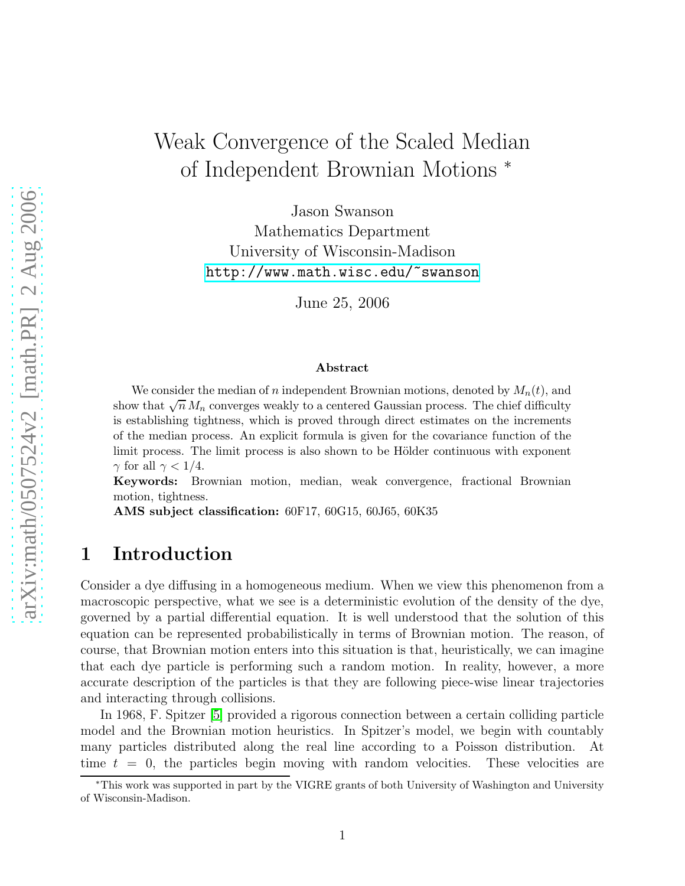# Weak Convergence of the Scaled Median of Independent Brownian Motions <sup>∗</sup>

Jason Swanson Mathematics Department University of Wisconsin-Madison <http://www.math.wisc.edu/~swanson>

June 25, 2006

#### Abstract

We consider the median of n independent Brownian motions, denoted by  $M_n(t)$ , and show that  $\sqrt{n} M_n$  converges weakly to a centered Gaussian process. The chief difficulty is establishing tightness, which is proved through direct estimates on the increments of the median process. An explicit formula is given for the covariance function of the limit process. The limit process is also shown to be Hölder continuous with exponent  $\gamma$  for all  $\gamma < 1/4$ .

Keywords: Brownian motion, median, weak convergence, fractional Brownian motion, tightness.

AMS subject classification: 60F17, 60G15, 60J65, 60K35

#### 1 Introduction

Consider a dye diffusing in a homogeneous medium. When we view this phenomenon from a macroscopic perspective, what we see is a deterministic evolution of the density of the dye, governed by a partial differential equation. It is well understood that the solution of this equation can be represented probabilistically in terms of Brownian motion. The reason, of course, that Brownian motion enters into this situation is that, heuristically, we can imagine that each dye particle is performing such a random motion. In reality, however, a more accurate description of the particles is that they are following piece-wise linear trajectories and interacting through collisions.

In 1968, F. Spitzer [\[5\]](#page-30-0) provided a rigorous connection between a certain colliding particle model and the Brownian motion heuristics. In Spitzer's model, we begin with countably many particles distributed along the real line according to a Poisson distribution. At time  $t = 0$ , the particles begin moving with random velocities. These velocities are

<sup>∗</sup>This work was supported in part by the VIGRE grants of both University of Washington and University of Wisconsin-Madison.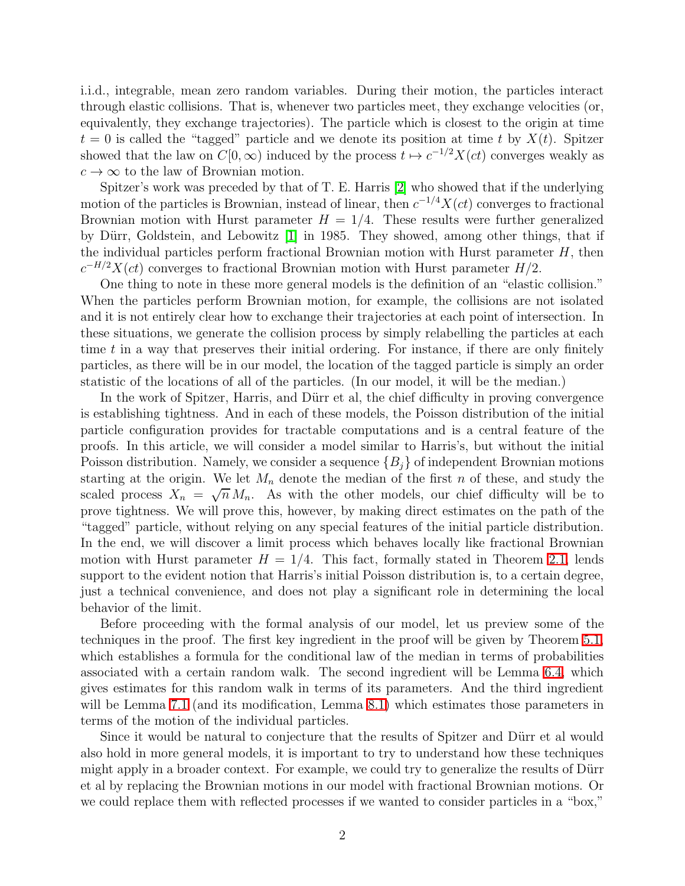i.i.d., integrable, mean zero random variables. During their motion, the particles interact through elastic collisions. That is, whenever two particles meet, they exchange velocities (or, equivalently, they exchange trajectories). The particle which is closest to the origin at time  $t = 0$  is called the "tagged" particle and we denote its position at time t by  $X(t)$ . Spitzer showed that the law on  $C[0,\infty)$  induced by the process  $t \mapsto c^{-1/2}X(ct)$  converges weakly as  $c \to \infty$  to the law of Brownian motion.

Spitzer's work was preceded by that of T. E. Harris [\[2\]](#page-30-1) who showed that if the underlying motion of the particles is Brownian, instead of linear, then  $c^{-1/4}X(ct)$  converges to fractional Brownian motion with Hurst parameter  $H = 1/4$ . These results were further generalized by Dürr, Goldstein, and Lebowitz [\[1\]](#page-30-2) in 1985. They showed, among other things, that if the individual particles perform fractional Brownian motion with Hurst parameter  $H$ , then  $c^{-H/2}X(ct)$  converges to fractional Brownian motion with Hurst parameter  $H/2$ .

One thing to note in these more general models is the definition of an "elastic collision." When the particles perform Brownian motion, for example, the collisions are not isolated and it is not entirely clear how to exchange their trajectories at each point of intersection. In these situations, we generate the collision process by simply relabelling the particles at each time  $t$  in a way that preserves their initial ordering. For instance, if there are only finitely particles, as there will be in our model, the location of the tagged particle is simply an order statistic of the locations of all of the particles. (In our model, it will be the median.)

In the work of Spitzer, Harris, and Dürr et al, the chief difficulty in proving convergence is establishing tightness. And in each of these models, the Poisson distribution of the initial particle configuration provides for tractable computations and is a central feature of the proofs. In this article, we will consider a model similar to Harris's, but without the initial Poisson distribution. Namely, we consider a sequence  $\{B_i\}$  of independent Brownian motions starting at the origin. We let  $M_n$  denote the median of the first n of these, and study the scaled process  $X_n = \sqrt{n} M_n$ . As with the other models, our chief difficulty will be to prove tightness. We will prove this, however, by making direct estimates on the path of the "tagged" particle, without relying on any special features of the initial particle distribution. In the end, we will discover a limit process which behaves locally like fractional Brownian motion with Hurst parameter  $H = 1/4$ . This fact, formally stated in Theorem [2.1,](#page-2-0) lends support to the evident notion that Harris's initial Poisson distribution is, to a certain degree, just a technical convenience, and does not play a significant role in determining the local behavior of the limit.

Before proceeding with the formal analysis of our model, let us preview some of the techniques in the proof. The first key ingredient in the proof will be given by Theorem [5.1,](#page-10-0) which establishes a formula for the conditional law of the median in terms of probabilities associated with a certain random walk. The second ingredient will be Lemma [6.4,](#page-20-0) which gives estimates for this random walk in terms of its parameters. And the third ingredient will be Lemma [7.1](#page-21-0) (and its modification, Lemma [8.1\)](#page-28-0) which estimates those parameters in terms of the motion of the individual particles.

Since it would be natural to conjecture that the results of Spitzer and Dürr et al would also hold in more general models, it is important to try to understand how these techniques might apply in a broader context. For example, we could try to generalize the results of Dürr et al by replacing the Brownian motions in our model with fractional Brownian motions. Or we could replace them with reflected processes if we wanted to consider particles in a "box,"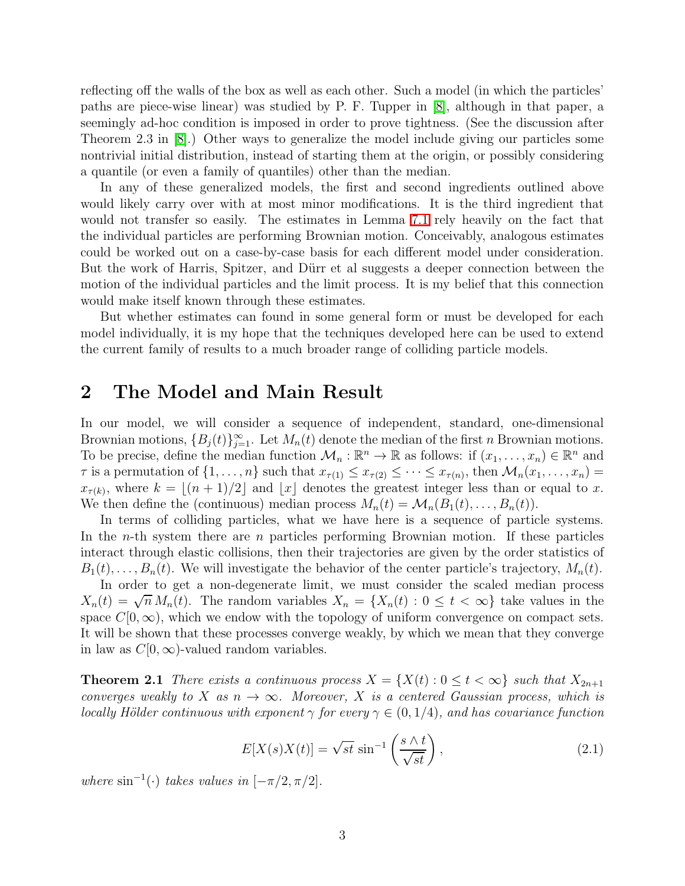reflecting off the walls of the box as well as each other. Such a model (in which the particles' paths are piece-wise linear) was studied by P. F. Tupper in [\[8\]](#page-30-3), although in that paper, a seemingly ad-hoc condition is imposed in order to prove tightness. (See the discussion after Theorem 2.3 in [\[8\]](#page-30-3).) Other ways to generalize the model include giving our particles some nontrivial initial distribution, instead of starting them at the origin, or possibly considering a quantile (or even a family of quantiles) other than the median.

In any of these generalized models, the first and second ingredients outlined above would likely carry over with at most minor modifications. It is the third ingredient that would not transfer so easily. The estimates in Lemma [7.1](#page-21-0) rely heavily on the fact that the individual particles are performing Brownian motion. Conceivably, analogous estimates could be worked out on a case-by-case basis for each different model under consideration. But the work of Harris, Spitzer, and Dürr et al suggests a deeper connection between the motion of the individual particles and the limit process. It is my belief that this connection would make itself known through these estimates.

But whether estimates can found in some general form or must be developed for each model individually, it is my hope that the techniques developed here can be used to extend the current family of results to a much broader range of colliding particle models.

### 2 The Model and Main Result

In our model, we will consider a sequence of independent, standard, one-dimensional Brownian motions,  $\{B_j(t)\}_{j=1}^{\infty}$ . Let  $M_n(t)$  denote the median of the first n Brownian motions. To be precise, define the median function  $\mathcal{M}_n : \mathbb{R}^n \to \mathbb{R}$  as follows: if  $(x_1, \ldots, x_n) \in \mathbb{R}^n$  and  $\tau$  is a permutation of  $\{1,\ldots,n\}$  such that  $x_{\tau(1)} \leq x_{\tau(2)} \leq \cdots \leq x_{\tau(n)}$ , then  $\mathcal{M}_n(x_1,\ldots,x_n)$  $x_{\tau(k)}$ , where  $k = \lfloor (n+1)/2 \rfloor$  and  $\lfloor x \rfloor$  denotes the greatest integer less than or equal to x. We then define the (continuous) median process  $M_n(t) = \mathcal{M}_n(B_1(t), \ldots, B_n(t)).$ 

In terms of colliding particles, what we have here is a sequence of particle systems. In the *n*-th system there are *n* particles performing Brownian motion. If these particles interact through elastic collisions, then their trajectories are given by the order statistics of  $B_1(t), \ldots, B_n(t)$ . We will investigate the behavior of the center particle's trajectory,  $M_n(t)$ .

In order to get a non-degenerate limit, we must consider the scaled median process  $X_n(t) = \sqrt{n} M_n(t)$ . The random variables  $X_n = \{X_n(t) : 0 \le t < \infty\}$  take values in the space  $C[0,\infty)$ , which we endow with the topology of uniform convergence on compact sets. It will be shown that these processes converge weakly, by which we mean that they converge in law as  $C[0,\infty)$ -valued random variables.

<span id="page-2-1"></span><span id="page-2-0"></span>**Theorem 2.1** *There exists a continuous process*  $X = \{X(t): 0 \le t < \infty\}$  *such that*  $X_{2n+1}$ *converges weakly to* X *as*  $n \to \infty$ *. Moreover,* X *is a centered Gaussian process, which is locally Hölder continuous with exponent*  $\gamma$  *for every*  $\gamma \in (0, 1/4)$ *, and has covariance function* 

$$
E[X(s)X(t)] = \sqrt{st} \sin^{-1}\left(\frac{s \wedge t}{\sqrt{st}}\right),\tag{2.1}
$$

*where*  $\sin^{-1}(\cdot)$  *takes values in*  $[-\pi/2, \pi/2]$ *.*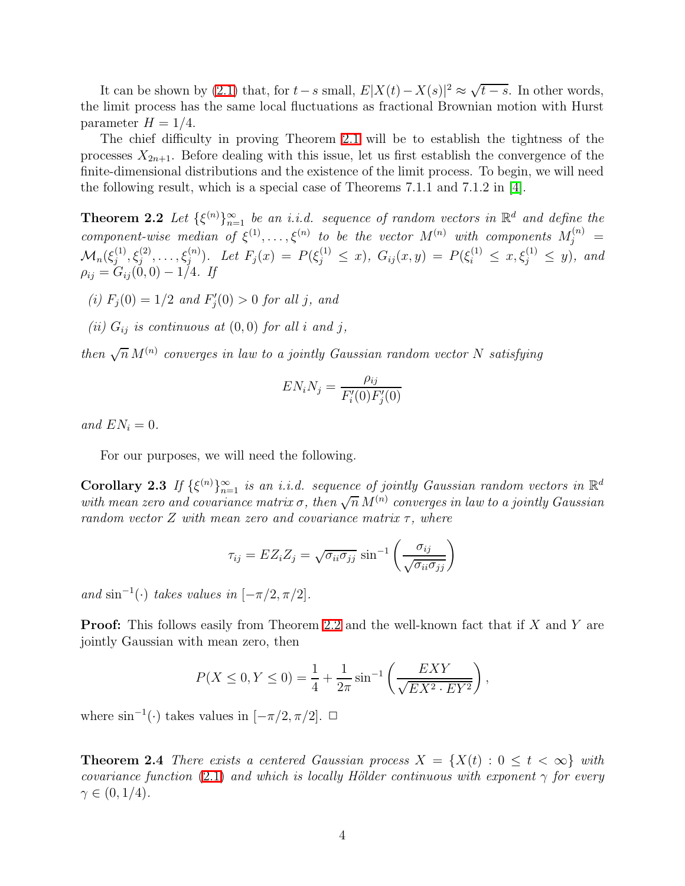It can be shown by [\(2.1\)](#page-2-1) that, for  $t-s$  small,  $E|X(t) - X(s)|^2 \approx \sqrt{t-s}$ . In other words, the limit process has the same local fluctuations as fractional Brownian motion with Hurst parameter  $H = 1/4$ .

The chief difficulty in proving Theorem [2.1](#page-2-0) will be to establish the tightness of the processes  $X_{2n+1}$ . Before dealing with this issue, let us first establish the convergence of the finite-dimensional distributions and the existence of the limit process. To begin, we will need the following result, which is a special case of Theorems 7.1.1 and 7.1.2 in [\[4\]](#page-30-4).

<span id="page-3-0"></span>**Theorem 2.2** Let  $\{\xi^{(n)}\}_{n=1}^{\infty}$  be an *i.i.d.* sequence of random vectors in  $\mathbb{R}^d$  and define the *component-wise median of*  $\xi^{(1)}, \ldots, \xi^{(n)}$  *to be the vector*  $M^{(n)}$  *with components*  $M_j^{(n)}$  =  $\mathcal{M}_n(\xi_j^{(1)}$  $j^{(1)}, \xi_j^{(2)}, \ldots, \xi_j^{(n)}$ ). Let  $F_j(x) = P(\xi_j^{(1)} \leq x)$ ,  $G_{ij}(x, y) = P(\xi_i^{(1)} \leq x, \xi_j^{(1)} \leq y)$ , and  $\rho_{ij} = G_{ij}(0,0) - 1/4$ *. If* 

- $(i)$   $F_j(0) = 1/2$  *and*  $F'_j(0) > 0$  *for all j, and*
- *(ii)*  $G_{ij}$  *is continuous at*  $(0,0)$  *for all i and j*,

*then*  $\sqrt{n} M^{(n)}$  converges in law to a jointly Gaussian random vector N satisfying

$$
EN_iN_j = \frac{\rho_{ij}}{F_i'(0)F_j'(0)}
$$

*and*  $EN_i = 0$ *.* 

For our purposes, we will need the following.

<span id="page-3-1"></span>Corollary 2.3 If  $\{\xi^{(n)}\}_{n=1}^{\infty}$  is an *i.i.d.* sequence of jointly Gaussian random vectors in  $\mathbb{R}^d$ with mean zero and covariance matrix  $\sigma$ , then  $\sqrt{n} M^{(n)}$  converges in law to a jointly Gaussian *random vector* Z *with mean zero and covariance matrix*  $\tau$ *, where* 

$$
\tau_{ij} = EZ_i Z_j = \sqrt{\sigma_{ii} \sigma_{jj}} \sin^{-1} \left( \frac{\sigma_{ij}}{\sqrt{\sigma_{ii} \sigma_{jj}}} \right)
$$

 $and \sin^{-1}(\cdot)$  *takes values in*  $[-\pi/2, \pi/2]$ *.* 

**Proof:** This follows easily from Theorem [2.2](#page-3-0) and the well-known fact that if  $X$  and  $Y$  are jointly Gaussian with mean zero, then

$$
P(X \le 0, Y \le 0) = \frac{1}{4} + \frac{1}{2\pi} \sin^{-1} \left( \frac{EXY}{\sqrt{EX^2 \cdot EY^2}} \right),
$$

<span id="page-3-2"></span>where  $\sin^{-1}(\cdot)$  takes values in  $[-\pi/2, \pi/2]$ .  $\Box$ 

**Theorem 2.4** *There exists a centered Gaussian process*  $X = \{X(t): 0 \le t < \infty\}$  *with covariance function* [\(2.1\)](#page-2-1) *and which is locally Hölder continuous with exponent*  $\gamma$  *for every*  $\gamma \in (0, 1/4)$ .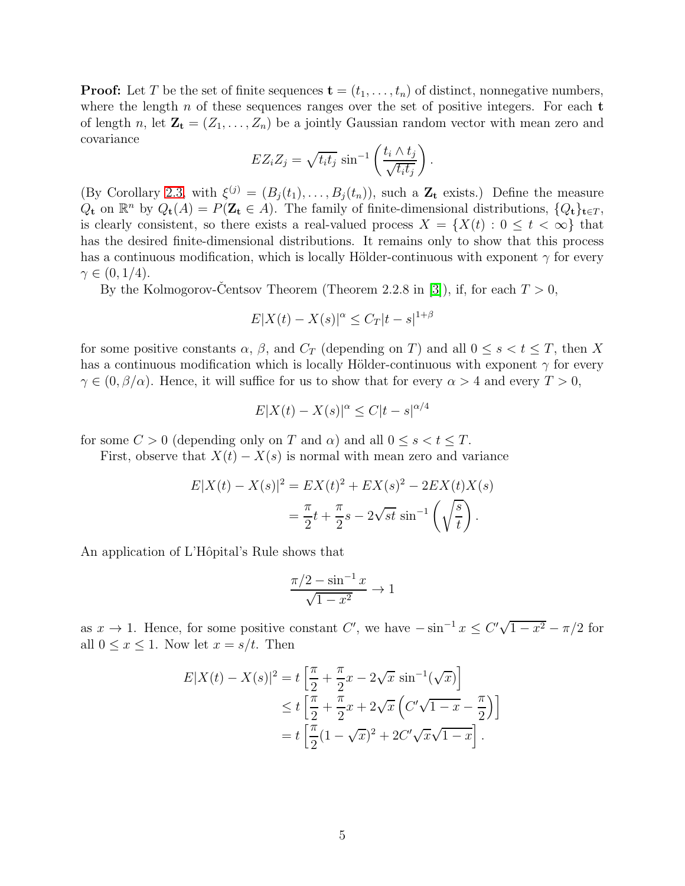**Proof:** Let T be the set of finite sequences  $\mathbf{t} = (t_1, \ldots, t_n)$  of distinct, nonnegative numbers, where the length  $n$  of these sequences ranges over the set of positive integers. For each  $t$ of length n, let  $\mathbf{Z_t} = (Z_1, \ldots, Z_n)$  be a jointly Gaussian random vector with mean zero and covariance

$$
EZ_iZ_j = \sqrt{t_i t_j} \sin^{-1} \left( \frac{t_i \wedge t_j}{\sqrt{t_i t_j}} \right).
$$

(By Corollary [2.3,](#page-3-1) with  $\xi^{(j)} = (B_j(t_1), \ldots, B_j(t_n))$ , such a  $\mathbb{Z}_t$  exists.) Define the measure  $Q_{\mathbf{t}}$  on  $\mathbb{R}^n$  by  $Q_{\mathbf{t}}(A) = P(\mathbf{Z}_{\mathbf{t}} \in A)$ . The family of finite-dimensional distributions,  $\{Q_{\mathbf{t}}\}_{\mathbf{t} \in T}$ , is clearly consistent, so there exists a real-valued process  $X = \{X(t): 0 \le t < \infty\}$  that has the desired finite-dimensional distributions. It remains only to show that this process has a continuous modification, which is locally Hölder-continuous with exponent  $\gamma$  for every  $\gamma \in (0, 1/4)$ .

By the Kolmogorov-Centsov Theorem (Theorem 2.2.8 in [\[3\]](#page-30-5)), if, for each  $T > 0$ ,

$$
E|X(t) - X(s)|^{\alpha} \le C_T|t - s|^{1+\beta}
$$

for some positive constants  $\alpha$ ,  $\beta$ , and  $C_T$  (depending on T) and all  $0 \leq s < t \leq T$ , then X has a continuous modification which is locally Hölder-continuous with exponent  $\gamma$  for every  $\gamma \in (0, \beta/\alpha)$ . Hence, it will suffice for us to show that for every  $\alpha > 4$  and every  $T > 0$ ,

$$
E|X(t) - X(s)|^{\alpha} \le C|t - s|^{\alpha/4}
$$

for some  $C > 0$  (depending only on T and  $\alpha$ ) and all  $0 \leq s < t \leq T$ .

First, observe that  $X(t) - X(s)$  is normal with mean zero and variance

$$
E|X(t) - X(s)|^2 = EX(t)^2 + EX(s)^2 - 2EX(t)X(s)
$$
  
=  $\frac{\pi}{2}t + \frac{\pi}{2}s - 2\sqrt{st} \sin^{-1}(\sqrt{\frac{s}{t}}).$ 

An application of L'Hôpital's Rule shows that

$$
\frac{\pi/2 - \sin^{-1} x}{\sqrt{1 - x^2}} \to 1
$$

as  $x \to 1$ . Hence, for some positive constant C', we have  $-\sin^{-1} x \le C'\sqrt{1-x^2} - \pi/2$  for all  $0 \leq x \leq 1$ . Now let  $x = s/t$ . Then

$$
E|X(t) - X(s)|^2 = t \left[ \frac{\pi}{2} + \frac{\pi}{2} x - 2\sqrt{x} \sin^{-1}(\sqrt{x}) \right]
$$
  
\n
$$
\leq t \left[ \frac{\pi}{2} + \frac{\pi}{2} x + 2\sqrt{x} \left( C'\sqrt{1 - x} - \frac{\pi}{2} \right) \right]
$$
  
\n
$$
= t \left[ \frac{\pi}{2} (1 - \sqrt{x})^2 + 2C'\sqrt{x}\sqrt{1 - x} \right].
$$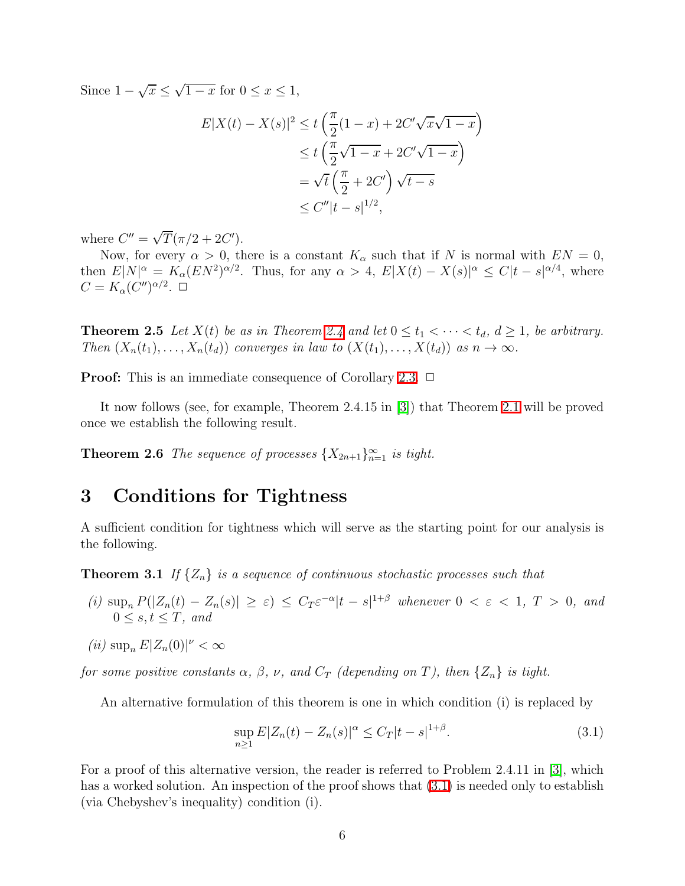Since  $1 - \sqrt{x} \leq \sqrt{1 - x}$  for  $0 \leq x \leq 1$ ,

$$
E|X(t) - X(s)|^2 \le t\left(\frac{\pi}{2}(1-x) + 2C'\sqrt{x}\sqrt{1-x}\right)
$$
  
\n
$$
\le t\left(\frac{\pi}{2}\sqrt{1-x} + 2C'\sqrt{1-x}\right)
$$
  
\n
$$
= \sqrt{t}\left(\frac{\pi}{2} + 2C'\right)\sqrt{t-s}
$$
  
\n
$$
\le C''|t-s|^{1/2},
$$

where  $C'' = \sqrt{T} (\pi/2 + 2C')$ .

Now, for every  $\alpha > 0$ , there is a constant  $K_{\alpha}$  such that if N is normal with  $EN = 0$ , then  $E[N]^\alpha = K_\alpha (EN^2)^{\alpha/2}$ . Thus, for any  $\alpha > 4$ ,  $E[X(t) - X(s)]^\alpha \le C|t - s|^{\alpha/4}$ , where  $C=K_{\alpha}(C'')^{\alpha/2}.$ 

**Theorem 2.5** Let  $X(t)$  be as in Theorem [2.4](#page-3-2) and let  $0 \le t_1 < \cdots < t_d$ ,  $d \ge 1$ , be arbitrary. *Then*  $(X_n(t_1),...,X_n(t_d))$  *converges in law to*  $(X(t_1),...,X(t_d))$  *as*  $n \to \infty$ *.* 

**Proof:** This is an immediate consequence of Corollary [2.3.](#page-3-1)  $\Box$ 

<span id="page-5-2"></span>It now follows (see, for example, Theorem 2.4.15 in [\[3\]](#page-30-5)) that Theorem [2.1](#page-2-0) will be proved once we establish the following result.

**Theorem 2.6** *The sequence of processes*  $\{X_{2n+1}\}_{n=1}^{\infty}$  *is tight.* 

#### 3 Conditions for Tightness

<span id="page-5-1"></span>A sufficient condition for tightness which will serve as the starting point for our analysis is the following.

**Theorem 3.1** If  $\{Z_n\}$  is a sequence of continuous stochastic processes such that

- $(i)$  sup<sub>n</sub>  $P(|Z_n(t) Z_n(s)| \geq \varepsilon) \leq C_T \varepsilon^{-\alpha} |t-s|^{1+\beta}$  whenever  $0 < \varepsilon < 1$ ,  $T > 0$ , and  $0 \leq s, t \leq T$ , and
- $(iii)$  sup<sub>n</sub>  $E|Z_n(0)|^{\nu} < \infty$

*for some positive constants*  $\alpha$ ,  $\beta$ ,  $\nu$ , and  $C_T$  (depending on T), then  $\{Z_n\}$  is tight.

An alternative formulation of this theorem is one in which condition (i) is replaced by

<span id="page-5-0"></span>
$$
\sup_{n\geq 1} E|Z_n(t) - Z_n(s)|^\alpha \leq C_T|t - s|^{1+\beta}.
$$
\n(3.1)

For a proof of this alternative version, the reader is referred to Problem 2.4.11 in [\[3\]](#page-30-5), which has a worked solution. An inspection of the proof shows that  $(3.1)$  is needed only to establish (via Chebyshev's inequality) condition (i).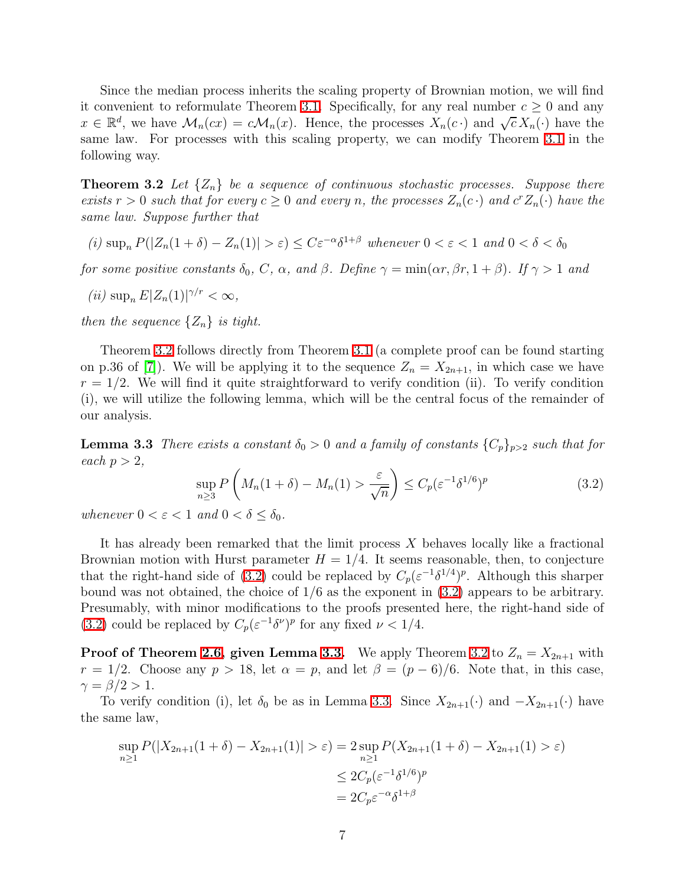Since the median process inherits the scaling property of Brownian motion, we will find it convenient to reformulate Theorem [3.1.](#page-5-1) Specifically, for any real number  $c \geq 0$  and any  $x \in \mathbb{R}^d$ , we have  $\mathcal{M}_n(cx) = c\mathcal{M}_n(x)$ . Hence, the processes  $X_n(c \cdot)$  and  $\sqrt{c} X_n(\cdot)$  have the same law. For processes with this scaling property, we can modify Theorem [3.1](#page-5-1) in the following way.

<span id="page-6-0"></span>**Theorem 3.2** Let  $\{Z_n\}$  be a sequence of continuous stochastic processes. Suppose there *exists*  $r > 0$  *such that for every*  $c \geq 0$  *and every* n, the processes  $Z_n(c \cdot)$  *and*  $c^r Z_n(\cdot)$  *have the same law. Suppose further that*

 $(i)$  sup<sub>n</sub>  $P(|Z_n(1+\delta) - Z_n(1)| > \varepsilon) \leq C\varepsilon^{-\alpha}\delta^{1+\beta}$  *whenever*  $0 < \varepsilon < 1$  *and*  $0 < \delta < \delta_0$ 

*for some positive constants*  $\delta_0$ , C,  $\alpha$ , and  $\beta$ *. Define*  $\gamma = \min(\alpha r, \beta r, 1 + \beta)$ *. If*  $\gamma > 1$  *and* 

$$
(ii) \sup\nolimits_n E|Z_n(1)|^{\gamma/r} < \infty,
$$

*then the sequence*  $\{Z_n\}$  *is tight.* 

Theorem [3.2](#page-6-0) follows directly from Theorem [3.1](#page-5-1) (a complete proof can be found starting on p.36 of [\[7\]](#page-30-6)). We will be applying it to the sequence  $Z_n = X_{2n+1}$ , in which case we have  $r = 1/2$ . We will find it quite straightforward to verify condition (ii). To verify condition (i), we will utilize the following lemma, which will be the central focus of the remainder of our analysis.

<span id="page-6-2"></span><span id="page-6-1"></span>**Lemma 3.3** *There exists a constant*  $\delta_0 > 0$  *and a family of constants*  $\{C_p\}_{p>2}$  *such that for each*  $p > 2$ *,* 

$$
\sup_{n\geq 3} P\left(M_n(1+\delta) - M_n(1) > \frac{\varepsilon}{\sqrt{n}}\right) \leq C_p(\varepsilon^{-1}\delta^{1/6})^p \tag{3.2}
$$

*whenever*  $0 < \varepsilon < 1$  *and*  $0 < \delta \leq \delta_0$ *.* 

It has already been remarked that the limit process  $X$  behaves locally like a fractional Brownian motion with Hurst parameter  $H = 1/4$ . It seems reasonable, then, to conjecture that the right-hand side of [\(3.2\)](#page-6-1) could be replaced by  $C_p(\varepsilon^{-1}\delta^{1/4})^p$ . Although this sharper bound was not obtained, the choice of 1/6 as the exponent in [\(3.2\)](#page-6-1) appears to be arbitrary. Presumably, with minor modifications to the proofs presented here, the right-hand side of [\(3.2\)](#page-6-1) could be replaced by  $C_p(\varepsilon^{-1}\delta^{\nu})^p$  for any fixed  $\nu < 1/4$ .

**Proof of Theorem [2.6,](#page-5-2) given Lemma [3.3.](#page-6-2)** We apply Theorem [3.2](#page-6-0) to  $Z_n = X_{2n+1}$  with  $r = 1/2$ . Choose any  $p > 18$ , let  $\alpha = p$ , and let  $\beta = (p - 6)/6$ . Note that, in this case,  $\gamma = \beta/2 > 1$ .

To verify condition (i), let  $\delta_0$  be as in Lemma [3.3.](#page-6-2) Since  $X_{2n+1}(\cdot)$  and  $-X_{2n+1}(\cdot)$  have the same law,

$$
\sup_{n\geq 1} P(|X_{2n+1}(1+\delta) - X_{2n+1}(1)| > \varepsilon) = 2 \sup_{n\geq 1} P(X_{2n+1}(1+\delta) - X_{2n+1}(1) > \varepsilon)
$$
  

$$
\leq 2C_p(\varepsilon^{-1}\delta^{1/6})^p
$$
  

$$
= 2C_p\varepsilon^{-\alpha}\delta^{1+\beta}
$$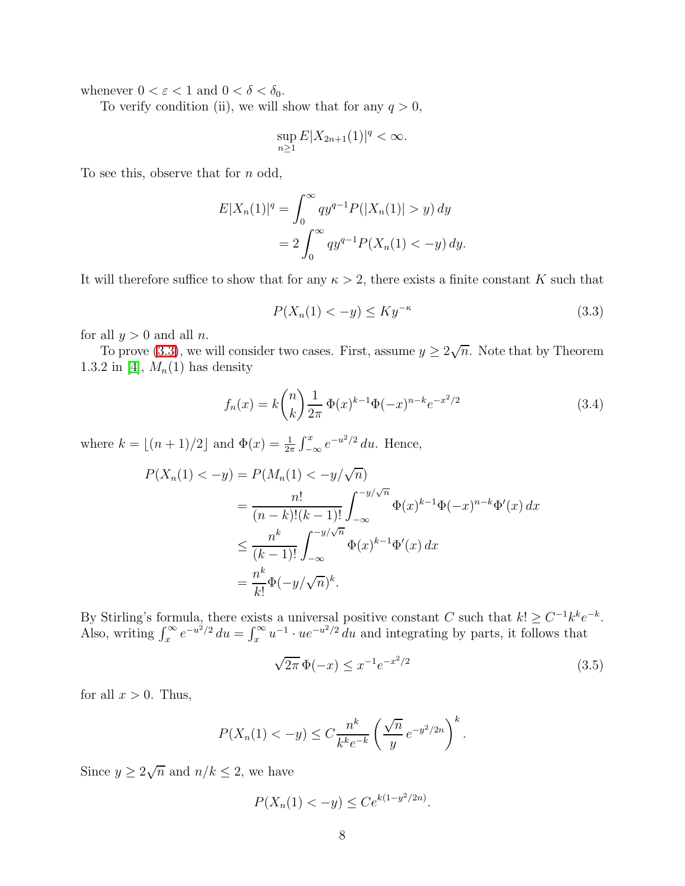whenever  $0 < \varepsilon < 1$  and  $0 < \delta < \delta_0$ .

To verify condition (ii), we will show that for any  $q > 0$ ,

$$
\sup_{n\geq 1} E|X_{2n+1}(1)|^q < \infty.
$$

To see this, observe that for n odd,

$$
E|X_n(1)|^q = \int_0^\infty qy^{q-1} P(|X_n(1)| > y) dy
$$
  
=  $2 \int_0^\infty qy^{q-1} P(X_n(1) < -y) dy.$ 

<span id="page-7-0"></span>It will therefore suffice to show that for any  $\kappa > 2$ , there exists a finite constant K such that

$$
P(X_n(1) < -y) \le Ky^{-\kappa} \tag{3.3}
$$

for all  $y > 0$  and all n.

To prove [\(3.3\)](#page-7-0), we will consider two cases. First, assume  $y \ge 2\sqrt{n}$ . Note that by Theorem 1.3.2 in [\[4\]](#page-30-4),  $M_n(1)$  has density

<span id="page-7-1"></span>
$$
f_n(x) = k \binom{n}{k} \frac{1}{2\pi} \Phi(x)^{k-1} \Phi(-x)^{n-k} e^{-x^2/2}
$$
\n(3.4)

where  $k = \lfloor (n+1)/2 \rfloor$  and  $\Phi(x) = \frac{1}{2\pi} \int_{-\infty}^{x} e^{-u^2/2} du$ . Hence,

$$
P(X_n(1) < -y) = P(M_n(1) < -y/\sqrt{n})
$$
\n
$$
= \frac{n!}{(n-k)!(k-1)!} \int_{-\infty}^{-y/\sqrt{n}} \Phi(x)^{k-1} \Phi(-x)^{n-k} \Phi'(x) \, dx
$$
\n
$$
\leq \frac{n^k}{(k-1)!} \int_{-\infty}^{-y/\sqrt{n}} \Phi(x)^{k-1} \Phi'(x) \, dx
$$
\n
$$
= \frac{n^k}{k!} \Phi(-y/\sqrt{n})^k.
$$

By Stirling's formula, there exists a universal positive constant C such that  $k! \geq C^{-1}k^k e^{-k}$ . Also, writing  $\int_x^{\infty} e^{-u^2/2} du = \int_x^{\infty} u^{-1} \cdot ue^{-u^2/2} du$  and integrating by parts, it follows that

<span id="page-7-2"></span>
$$
\sqrt{2\pi} \Phi(-x) \le x^{-1} e^{-x^2/2} \tag{3.5}
$$

for all  $x > 0$ . Thus,

$$
P(X_n(1) < -y) \le C \frac{n^k}{k^k e^{-k}} \left(\frac{\sqrt{n}}{y} e^{-y^2/2n}\right)^k.
$$

Since  $y \ge 2\sqrt{n}$  and  $n/k \le 2$ , we have

$$
P(X_n(1) < -y) \leq Ce^{k(1-y^2/2n)}.
$$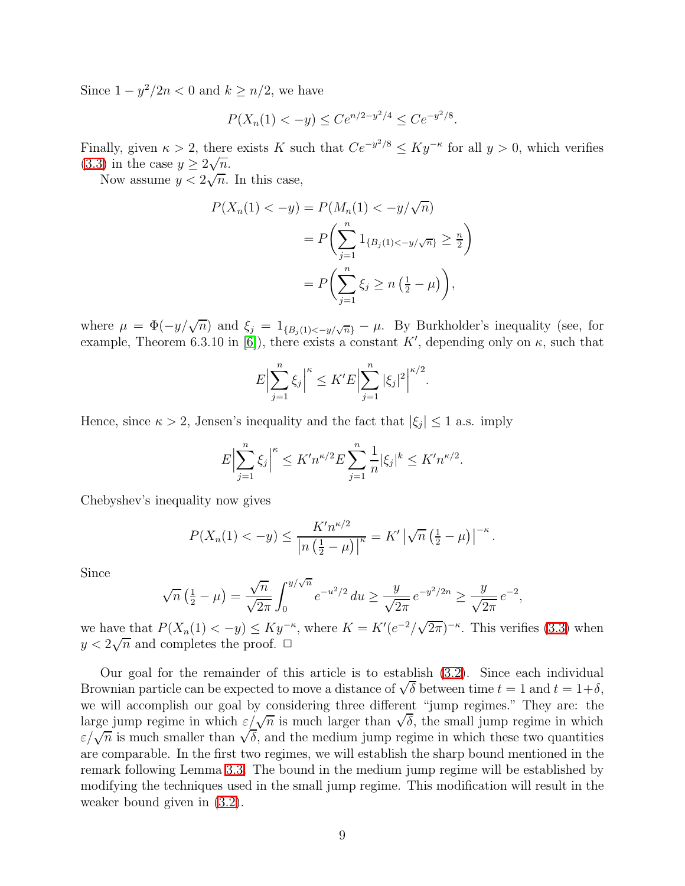Since  $1 - y^2/2n < 0$  and  $k \ge n/2$ , we have

$$
P(X_n(1) < -y) \leq Ce^{n/2 - y^2/4} \leq Ce^{-y^2/8}.
$$

Finally, given  $\kappa > 2$ , there exists K such that  $Ce^{-y^2/8} \le Ky^{-\kappa}$  for all  $y > 0$ , which verifies [\(3.3\)](#page-7-0) in the case  $y \ge 2\sqrt{n}$ .

Now assume  $y \leq 2\sqrt{n}$ . In this case,

$$
P(X_n(1) < -y) = P(M_n(1) < -y/\sqrt{n})
$$
\n
$$
= P\left(\sum_{j=1}^n 1_{\{B_j(1) < -y/\sqrt{n}\}} \ge \frac{n}{2}\right)
$$
\n
$$
= P\left(\sum_{j=1}^n \xi_j \ge n\left(\frac{1}{2} - \mu\right)\right),
$$

where  $\mu = \Phi(-y/\sqrt{n})$  and  $\xi_j = 1_{\{B_j(1) < -y/\sqrt{n}\}} - \mu$ . By Burkholder's inequality (see, for example, Theorem 6.3.10 in [\[6\]](#page-30-7)), there exists a constant  $K'$ , depending only on  $\kappa$ , such that

$$
E\Big|\sum_{j=1}^{n}\xi_j\Big|^{\kappa} \leq K'E\Big|\sum_{j=1}^{n}|\xi_j|^2\Big|^{\kappa/2}.
$$

Hence, since  $\kappa > 2$ , Jensen's inequality and the fact that  $|\xi_j| \leq 1$  a.s. imply

$$
E\Big|\sum_{j=1}^n \xi_j\Big|^{\kappa} \le K' n^{\kappa/2} E \sum_{j=1}^n \frac{1}{n} |\xi_j|^k \le K' n^{\kappa/2}.
$$

Chebyshev's inequality now gives

$$
P(X_n(1) < -y) \le \frac{K' n^{\kappa/2}}{\left| n \left( \frac{1}{2} - \mu \right) \right|^{\kappa}} = K' \left| \sqrt{n} \left( \frac{1}{2} - \mu \right) \right|^{-\kappa}.
$$

Since

$$
\sqrt{n}\left(\frac{1}{2}-\mu\right) = \frac{\sqrt{n}}{\sqrt{2\pi}} \int_0^{y/\sqrt{n}} e^{-u^2/2} du \ge \frac{y}{\sqrt{2\pi}} e^{-y^2/2n} \ge \frac{y}{\sqrt{2\pi}} e^{-2},
$$

we have that  $P(X_n(1) < -y) \leq Ky^{-\kappa}$ , where  $K = K'(e^{-2}/\sqrt{2\pi})^{-\kappa}$ . This verifies [\(3.3\)](#page-7-0) when  $y < 2\sqrt{n}$  and completes the proof.  $\Box$ 

Our goal for the remainder of this article is to establish [\(3.2\)](#page-6-1). Since each individual Brownian particle can be expected to move a distance of  $\sqrt{\delta}$  between time  $t = 1$  and  $t = 1+\delta$ , we will accomplish our goal by considering three different "jump regimes." They are: the large jump regime in which  $\varepsilon/\sqrt{n}$  is much larger than  $\sqrt{\delta}$ , the small jump regime in which  $\varepsilon/\sqrt{n}$  is much smaller than  $\sqrt{\delta}$ , and the medium jump regime in which these two quantities are comparable. In the first two regimes, we will establish the sharp bound mentioned in the remark following Lemma [3.3.](#page-6-2) The bound in the medium jump regime will be established by modifying the techniques used in the small jump regime. This modification will result in the weaker bound given in [\(3.2\)](#page-6-1).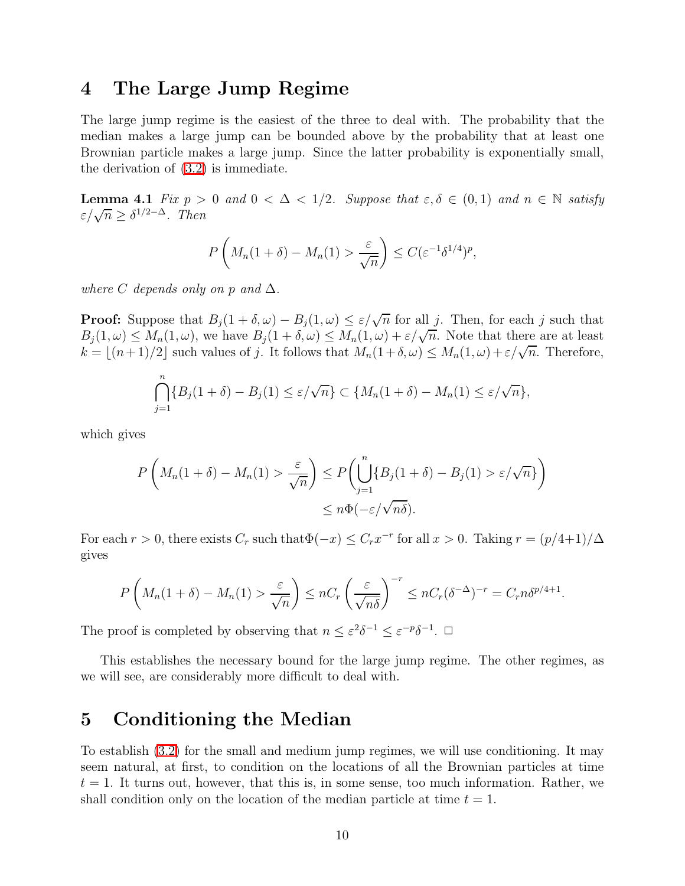#### 4 The Large Jump Regime

The large jump regime is the easiest of the three to deal with. The probability that the median makes a large jump can be bounded above by the probability that at least one Brownian particle makes a large jump. Since the latter probability is exponentially small, the derivation of [\(3.2\)](#page-6-1) is immediate.

<span id="page-9-1"></span>**Lemma 4.1** *Fix*  $p > 0$  *and*  $0 < \Delta < 1/2$ *. Suppose that*  $\varepsilon, \delta \in (0, 1)$  *and*  $n \in \mathbb{N}$  *satisfy*  $\varepsilon/\sqrt{n} \geq \delta^{1/2-\Delta}$ . Then

$$
P\left(M_n(1+\delta)-M_n(1)>\frac{\varepsilon}{\sqrt{n}}\right)\leq C(\varepsilon^{-1}\delta^{1/4})^p,
$$

*where*  $C$  *depends only on*  $p$  *and*  $\Delta$ *.* 

**Proof:** Suppose that  $B_j(1+\delta,\omega) - B_j(1,\omega) \leq \varepsilon/\sqrt{n}$  for all j. Then, for each j such that  $B_j(1,\omega) \leq M_n(1,\omega)$ , we have  $B_j(1+\delta,\omega) \leq M_n(1,\omega) + \varepsilon/\sqrt{n}$ . Note that there are at least  $k = \lfloor (n+1)/2 \rfloor$  such values of j. It follows that  $M_n(1+\delta,\omega) \leq M_n(1,\omega) + \varepsilon/\sqrt{n}$ . Therefore,

$$
\bigcap_{j=1}^n \{B_j(1+\delta)-B_j(1)\leq \varepsilon/\sqrt{n}\}\subset \{M_n(1+\delta)-M_n(1)\leq \varepsilon/\sqrt{n}\},\
$$

which gives

$$
P\left(M_n(1+\delta) - M_n(1) > \frac{\varepsilon}{\sqrt{n}}\right) \le P\left(\bigcup_{j=1}^n \{B_j(1+\delta) - B_j(1) > \varepsilon/\sqrt{n}\}\right) \le n\Phi(-\varepsilon/\sqrt{n\delta}).
$$

For each  $r > 0$ , there exists  $C_r$  such that  $\Phi(-x) \leq C_r x^{-r}$  for all  $x > 0$ . Taking  $r = (p/4+1)/\Delta$ gives

$$
P\left(M_n(1+\delta)-M_n(1)>\frac{\varepsilon}{\sqrt{n}}\right)\leq nC_r\left(\frac{\varepsilon}{\sqrt{n\delta}}\right)^{-r}\leq nC_r(\delta^{-\Delta})^{-r}=C_r n\delta^{p/4+1}.
$$

The proof is completed by observing that  $n \leq \varepsilon^2 \delta^{-1} \leq \varepsilon^{-p} \delta^{-1}$ .  $\Box$ 

This establishes the necessary bound for the large jump regime. The other regimes, as we will see, are considerably more difficult to deal with.

#### <span id="page-9-0"></span>5 Conditioning the Median

To establish [\(3.2\)](#page-6-1) for the small and medium jump regimes, we will use conditioning. It may seem natural, at first, to condition on the locations of all the Brownian particles at time  $t = 1$ . It turns out, however, that this is, in some sense, too much information. Rather, we shall condition only on the location of the median particle at time  $t = 1$ .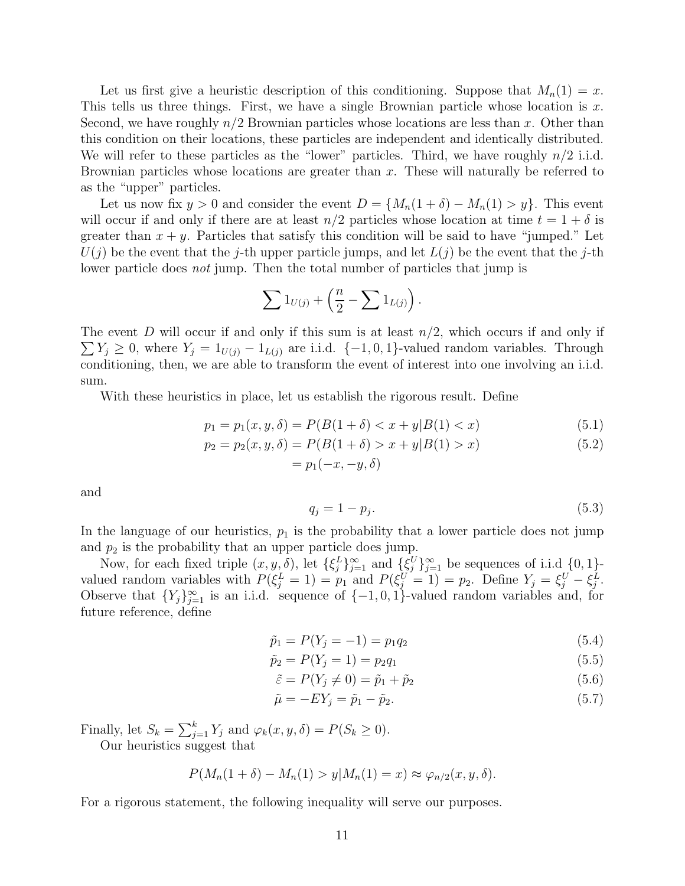Let us first give a heuristic description of this conditioning. Suppose that  $M_n(1) = x$ . This tells us three things. First, we have a single Brownian particle whose location is  $x$ . Second, we have roughly  $n/2$  Brownian particles whose locations are less than x. Other than this condition on their locations, these particles are independent and identically distributed. We will refer to these particles as the "lower" particles. Third, we have roughly  $n/2$  i.i.d. Brownian particles whose locations are greater than  $x$ . These will naturally be referred to as the "upper" particles.

Let us now fix  $y > 0$  and consider the event  $D = \{M_n(1 + \delta) - M_n(1) > y\}$ . This event will occur if and only if there are at least  $n/2$  particles whose location at time  $t = 1 + \delta$  is greater than  $x + y$ . Particles that satisfy this condition will be said to have "jumped." Let  $U(j)$  be the event that the j-th upper particle jumps, and let  $L(j)$  be the event that the j-th lower particle does *not* jump. Then the total number of particles that jump is

$$
\sum 1_{U(j)} + \left(\frac{n}{2} - \sum 1_{L(j)}\right).
$$

 $\sum Y_j \geq 0$ , where  $Y_j = 1_{U(j)} - 1_{L(j)}$  are i.i.d.  $\{-1,0,1\}$ -valued random variables. Through The event D will occur if and only if this sum is at least  $n/2$ , which occurs if and only if conditioning, then, we are able to transform the event of interest into one involving an i.i.d. sum.

With these heuristics in place, let us establish the rigorous result. Define

$$
p_1 = p_1(x, y, \delta) = P(B(1 + \delta) < x + y|B(1) < x) \tag{5.1}
$$

$$
p_2 = p_2(x, y, \delta) = P(B(1 + \delta) > x + y|B(1) > x)
$$
  
=  $p_1(-x, -y, \delta)$  (5.2)

and

<span id="page-10-3"></span><span id="page-10-2"></span><span id="page-10-1"></span>
$$
q_j = 1 - p_j. \tag{5.3}
$$

In the language of our heuristics,  $p_1$  is the probability that a lower particle does not jump and  $p_2$  is the probability that an upper particle does jump.

Now, for each fixed triple  $(x, y, \delta)$ , let  $\{\xi_j^L\}_{j=1}^{\infty}$  and  $\{\xi_j^U\}_{j=1}^{\infty}$  be sequences of i.i.d  $\{0, 1\}$ . valued random variables with  $P(\xi_j^L = 1) = p_1$  and  $P(\xi_j^U = 1) = p_2$ . Define  $Y_j = \xi_j^U - \xi_j^L$ . Observe that  ${Y_j}_{j=1}^{\infty}$  is an i.i.d. sequence of  ${-1,0,1}$ -valued random variables and, for future reference, define

$$
\tilde{p}_1 = P(Y_j = -1) = p_1 q_2 \tag{5.4}
$$

$$
\tilde{p}_2 = P(Y_j = 1) = p_2 q_1 \tag{5.5}
$$

$$
\tilde{\varepsilon} = P(Y_j \neq 0) = \tilde{p}_1 + \tilde{p}_2 \tag{5.6}
$$

<span id="page-10-4"></span>
$$
\tilde{\mu} = -EY_j = \tilde{p}_1 - \tilde{p}_2. \tag{5.7}
$$

Finally, let  $S_k = \sum_{j=1}^k Y_j$  and  $\varphi_k(x, y, \delta) = P(S_k \ge 0)$ .

Our heuristics suggest that

$$
P(M_n(1+\delta)-M_n(1) > y|M_n(1) = x) \approx \varphi_{n/2}(x, y, \delta).
$$

<span id="page-10-0"></span>For a rigorous statement, the following inequality will serve our purposes.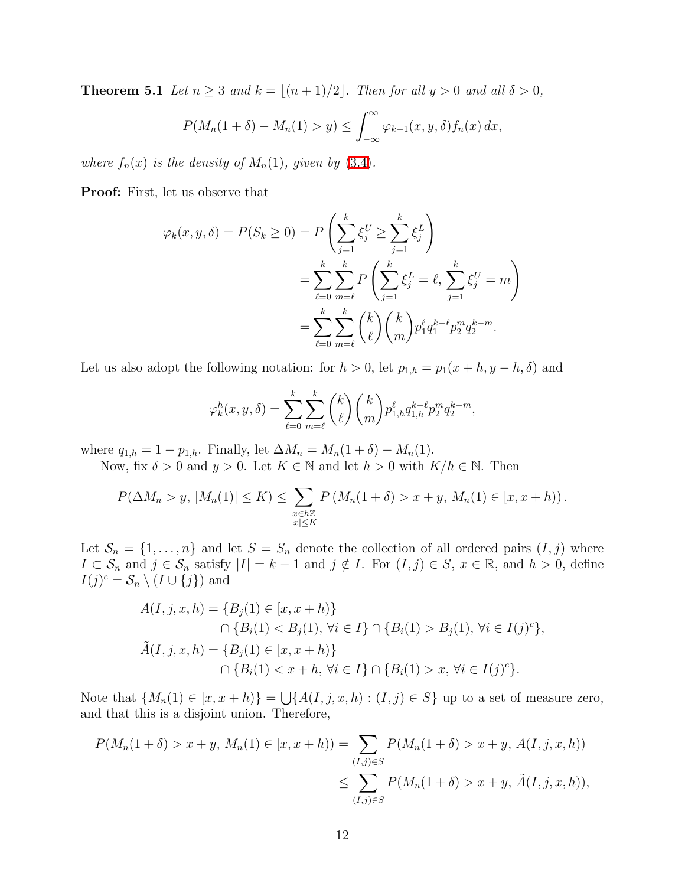**Theorem 5.1** *Let*  $n \geq 3$  *and*  $k = \lfloor (n+1)/2 \rfloor$ *. Then for all*  $y > 0$  *and all*  $\delta > 0$ *,* 

$$
P(M_n(1+\delta)-M_n(1) > y) \leq \int_{-\infty}^{\infty} \varphi_{k-1}(x, y, \delta) f_n(x) dx,
$$

*where*  $f_n(x)$  *is the density of*  $M_n(1)$ *, given by* [\(3.4\)](#page-7-1)*.* 

Proof: First, let us observe that

$$
\varphi_k(x, y, \delta) = P(S_k \ge 0) = P\left(\sum_{j=1}^k \xi_j^U \ge \sum_{j=1}^k \xi_j^L\right)
$$
  
= 
$$
\sum_{\ell=0}^k \sum_{m=\ell}^k P\left(\sum_{j=1}^k \xi_j^L = \ell, \sum_{j=1}^k \xi_j^U = m\right)
$$
  
= 
$$
\sum_{\ell=0}^k \sum_{m=\ell}^k {k \choose \ell} {k \choose m} p_1^{\ell} q_1^{k-\ell} p_2^m q_2^{k-m}.
$$

Let us also adopt the following notation: for  $h > 0$ , let  $p_{1,h} = p_1(x + h, y - h, \delta)$  and

$$
\varphi_k^h(x, y, \delta) = \sum_{\ell=0}^k \sum_{m=\ell}^k {k \choose \ell} {k \choose m} p_{1,h}^{\ell} q_{1,h}^{k-\ell} p_2^m q_2^{k-m},
$$

where  $q_{1,h} = 1 - p_{1,h}$ . Finally, let  $\Delta M_n = M_n(1 + \delta) - M_n(1)$ .

Now, fix  $\delta > 0$  and  $y > 0$ . Let  $K \in \mathbb{N}$  and let  $h > 0$  with  $K/h \in \mathbb{N}$ . Then

$$
P(\Delta M_n > y, |M_n(1)| \le K) \le \sum_{\substack{x \in h\mathbb{Z} \\ |x| \le K}} P(M_n(1+\delta) > x + y, M_n(1) \in [x, x + h)).
$$

Let  $S_n = \{1, \ldots, n\}$  and let  $S = S_n$  denote the collection of all ordered pairs  $(I, j)$  where  $I \subset \mathcal{S}_n$  and  $j \in \mathcal{S}_n$  satisfy  $|I| = k - 1$  and  $j \notin I$ . For  $(I, j) \in S$ ,  $x \in \mathbb{R}$ , and  $h > 0$ , define  $I(j)^c = \mathcal{S}_n \setminus (I \cup \{j\})$  and

$$
A(I, j, x, h) = \{B_j(1) \in [x, x + h)\}
$$
  
\n
$$
\cap \{B_i(1) < B_j(1), \forall i \in I\} \cap \{B_i(1) > B_j(1), \forall i \in I(j)^c\},
$$
  
\n
$$
\tilde{A}(I, j, x, h) = \{B_j(1) \in [x, x + h)\}\
$$
  
\n
$$
\cap \{B_i(1) < x + h, \forall i \in I\} \cap \{B_i(1) > x, \forall i \in I(j)^c\}.
$$

Note that  $\{M_n(1) \in [x, x+h)\} = \bigcup \{A(I, j, x, h) : (I, j) \in S\}$  up to a set of measure zero, and that this is a disjoint union. Therefore,

$$
P(M_n(1+\delta) > x + y, M_n(1) \in [x, x+h)) = \sum_{(I,j) \in S} P(M_n(1+\delta) > x + y, A(I, j, x, h))
$$
  
\$\leq \sum\_{(I,j) \in S} P(M\_n(1+\delta) > x + y, \tilde{A}(I, j, x, h)),\$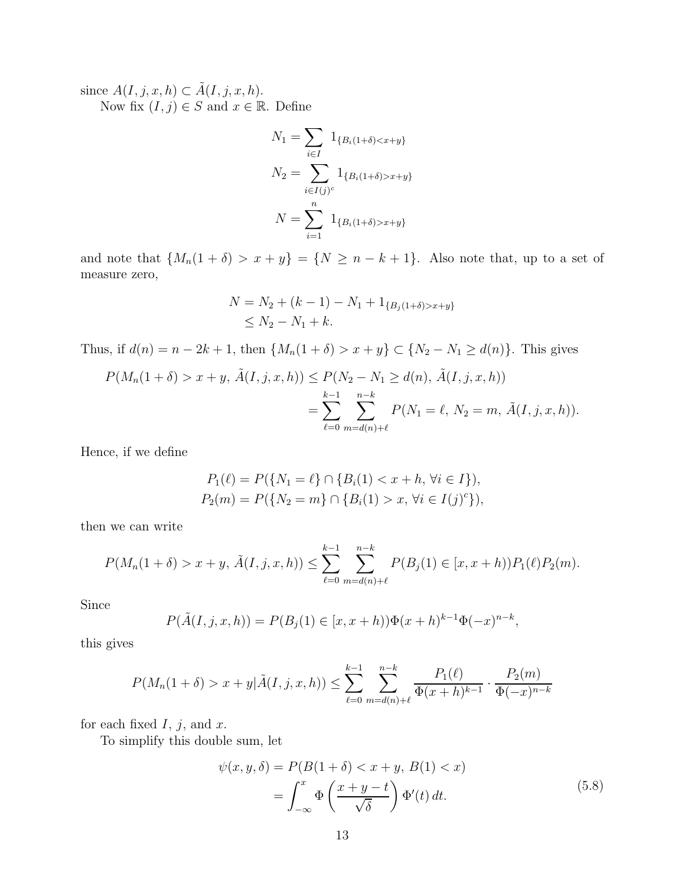since  $A(I, j, x, h) \subset \tilde{A}(I, j, x, h)$ . Now fix  $(I, j) \in S$  and  $x \in \mathbb{R}$ . Define

$$
N_1 = \sum_{i \in I} 1_{\{B_i(1+\delta) < x+y\}}
$$
\n
$$
N_2 = \sum_{i \in I(j)^c} 1_{\{B_i(1+\delta) > x+y\}}
$$
\n
$$
N = \sum_{i=1}^n 1_{\{B_i(1+\delta) > x+y\}}
$$

and note that  $\{M_n(1+\delta) > x+y\} = \{N \ge n-k+1\}$ . Also note that, up to a set of measure zero,

$$
N = N_2 + (k - 1) - N_1 + 1_{\{B_j(1+\delta) > x+y\}} \le N_2 - N_1 + k.
$$

Thus, if  $d(n) = n - 2k + 1$ , then  $\{M_n(1 + \delta) > x + y\} \subset \{N_2 - N_1 \ge d(n)\}\$ . This gives

$$
P(M_n(1+\delta) > x + y, \tilde{A}(I, j, x, h)) \le P(N_2 - N_1 \ge d(n), \tilde{A}(I, j, x, h))
$$
  
= 
$$
\sum_{\ell=0}^{k-1} \sum_{m=d(n)+\ell}^{n-k} P(N_1 = \ell, N_2 = m, \tilde{A}(I, j, x, h)).
$$

Hence, if we define

$$
P_1(\ell) = P(\{N_1 = \ell\} \cap \{B_i(1) < x + h, \forall i \in I\}),
$$
\n
$$
P_2(m) = P(\{N_2 = m\} \cap \{B_i(1) > x, \forall i \in I(j)^c\}),
$$

then we can write

$$
P(M_n(1+\delta) > x + y, \tilde{A}(I, j, x, h)) \le \sum_{\ell=0}^{k-1} \sum_{m=d(n)+\ell}^{n-k} P(B_j(1) \in [x, x+h)) P_1(\ell) P_2(m).
$$

Since

$$
P(\tilde{A}(I, j, x, h)) = P(B_j(1) \in [x, x + h))\Phi(x + h)^{k-1}\Phi(-x)^{n-k},
$$

this gives

$$
P(M_n(1+\delta) > x + y | \tilde{A}(I, j, x, h)) \le \sum_{\ell=0}^{k-1} \sum_{m=d(n)+\ell}^{n-k} \frac{P_1(\ell)}{\Phi(x+h)^{k-1}} \cdot \frac{P_2(m)}{\Phi(-x)^{n-k}}
$$

for each fixed  $I, j$ , and  $x$ .

To simplify this double sum, let

<span id="page-12-0"></span>
$$
\psi(x, y, \delta) = P(B(1 + \delta) < x + y, B(1) < x) \n= \int_{-\infty}^{x} \Phi\left(\frac{x + y - t}{\sqrt{\delta}}\right) \Phi'(t) \, dt. \tag{5.8}
$$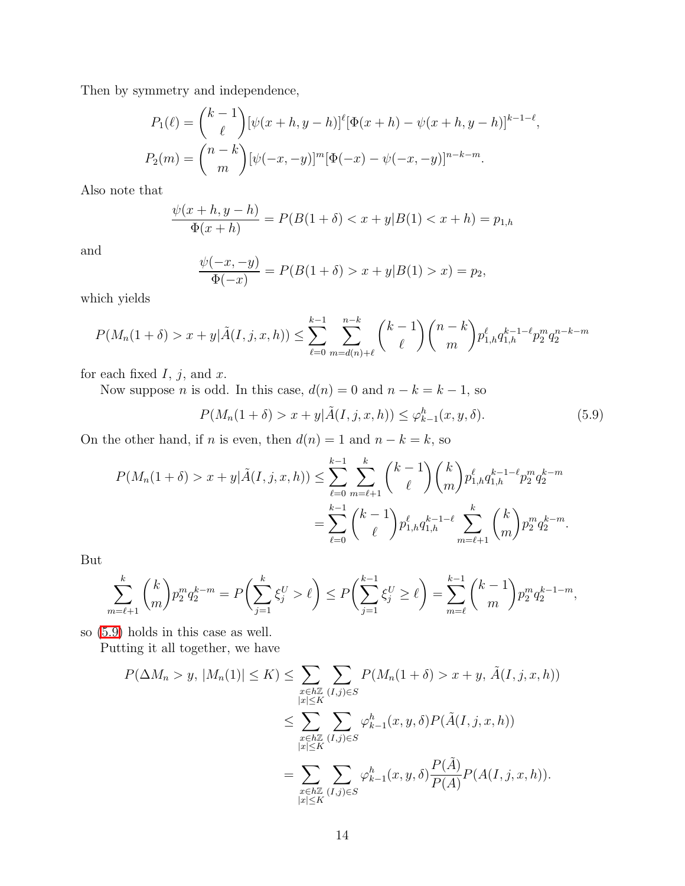Then by symmetry and independence,

$$
P_1(\ell) = {k-1 \choose \ell} [\psi(x+h, y-h)]^{\ell} [\Phi(x+h) - \psi(x+h, y-h)]^{k-1-\ell},
$$
  

$$
P_2(m) = {n-k \choose m} [\psi(-x, -y)]^m [\Phi(-x) - \psi(-x, -y)]^{n-k-m}.
$$

Also note that

$$
\frac{\psi(x+h, y-h)}{\Phi(x+h)} = P(B(1+\delta) < x+y|B(1) < x+h) = p_{1,h}
$$

and

$$
\frac{\psi(-x, -y)}{\Phi(-x)} = P(B(1+\delta) > x + y|B(1) > x) = p_2,
$$

which yields

$$
P(M_n(1+\delta) > x + y | \tilde{A}(I, j, x, h)) \le \sum_{\ell=0}^{k-1} \sum_{m=d(n)+\ell}^{n-k} {k-1 \choose \ell} {n-k \choose m} p_{1,h}^{\ell} q_{1,h}^{k-1-\ell} p_2^m q_2^{n-k-m}
$$

for each fixed  $I, j$ , and  $x$ .

Now suppose *n* is odd. In this case,  $d(n) = 0$  and  $n - k = k - 1$ , so

<span id="page-13-0"></span>
$$
P(M_n(1+\delta) > x + y | \tilde{A}(I, j, x, h)) \le \varphi_{k-1}^h(x, y, \delta).
$$
 (5.9)

On the other hand, if n is even, then  $d(n) = 1$  and  $n - k = k$ , so

$$
P(M_n(1+\delta) > x + y | \tilde{A}(I, j, x, h)) \le \sum_{\ell=0}^{k-1} \sum_{m=\ell+1}^k {k-1 \choose \ell} {k \choose m} p_{1,h}^{\ell} q_{1,h}^{k-1-\ell} p_2^m q_2^{k-m}
$$
  
= 
$$
\sum_{\ell=0}^{k-1} {k-1 \choose \ell} p_{1,h}^{\ell} q_{1,h}^{k-1-\ell} \sum_{m=\ell+1}^k {k \choose m} p_2^m q_2^{k-m}.
$$

But

$$
\sum_{m=\ell+1}^k \binom{k}{m} p_2^m q_2^{k-m} = P\left(\sum_{j=1}^k \xi_j^U > \ell\right) \le P\left(\sum_{j=1}^{k-1} \xi_j^U \ge \ell\right) = \sum_{m=\ell}^{k-1} \binom{k-1}{m} p_2^m q_2^{k-1-m},
$$

so [\(5.9\)](#page-13-0) holds in this case as well.

Putting it all together, we have

$$
P(\Delta M_n > y, |M_n(1)| \le K) \le \sum_{\substack{x \in h\mathbb{Z} \\ |x| \le K}} \sum_{(I,j) \in S} P(M_n(1+\delta) > x + y, \tilde{A}(I,j,x,h))
$$
  

$$
\le \sum_{\substack{x \in h\mathbb{Z} \\ |x| \le K}} \sum_{(I,j) \in S} \varphi_{k-1}^h(x,y,\delta) P(\tilde{A}(I,j,x,h))
$$
  

$$
= \sum_{\substack{x \in h\mathbb{Z} \\ |x| \le K}} \sum_{(I,j) \in S} \varphi_{k-1}^h(x,y,\delta) \frac{P(\tilde{A})}{P(A)} P(A(I,j,x,h)).
$$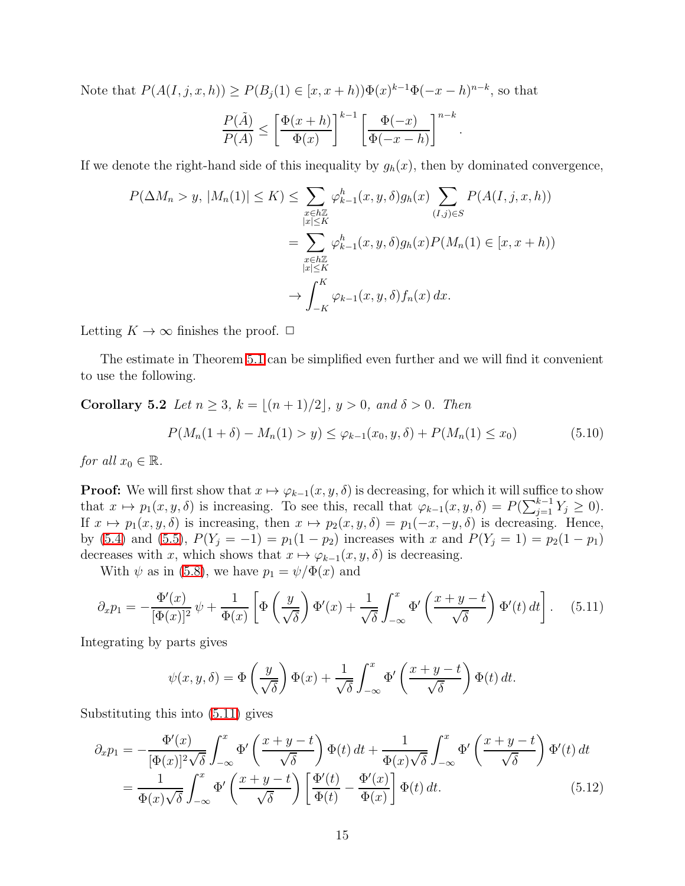Note that  $P(A(I, j, x, h)) \ge P(B_j(1) \in [x, x+h)) \Phi(x)^{k-1} \Phi(-x-h)^{n-k}$ , so that

$$
\frac{P(\tilde{A})}{P(A)} \le \left[ \frac{\Phi(x+h)}{\Phi(x)} \right]^{k-1} \left[ \frac{\Phi(-x)}{\Phi(-x-h)} \right]^{n-k}.
$$

If we denote the right-hand side of this inequality by  $g_h(x)$ , then by dominated convergence,

$$
P(\Delta M_n > y, |M_n(1)| \le K) \le \sum_{\substack{x \in h\mathbb{Z} \\ |x| \le K}} \varphi_{k-1}^h(x, y, \delta) g_h(x) \sum_{(I,j) \in S} P(A(I, j, x, h))
$$
  
= 
$$
\sum_{\substack{x \in h\mathbb{Z} \\ |x| \le K}} \varphi_{k-1}^h(x, y, \delta) g_h(x) P(M_n(1) \in [x, x + h))
$$
  

$$
\to \int_{-K}^K \varphi_{k-1}(x, y, \delta) f_n(x) dx.
$$

Letting  $K \to \infty$  finishes the proof.  $\Box$ 

<span id="page-14-2"></span>The estimate in Theorem [5.1](#page-10-0) can be simplified even further and we will find it convenient to use the following.

Corollary 5.2 *Let*  $n \geq 3$ *,*  $k = \lfloor (n+1)/2 \rfloor$ *,*  $y > 0$ *, and*  $\delta > 0$ *. Then* 

<span id="page-14-3"></span>
$$
P(M_n(1+\delta) - M_n(1) > y) \le \varphi_{k-1}(x_0, y, \delta) + P(M_n(1) \le x_0)
$$
\n(5.10)

*for all*  $x_0 \in \mathbb{R}$ *.* 

**Proof:** We will first show that  $x \mapsto \varphi_{k-1}(x, y, \delta)$  is decreasing, for which it will suffice to show that  $x \mapsto p_1(x, y, \delta)$  is increasing. To see this, recall that  $\varphi_{k-1}(x, y, \delta) = P(\sum_{j=1}^{k-1} Y_j \ge 0)$ . If  $x \mapsto p_1(x, y, \delta)$  is increasing, then  $x \mapsto p_2(x, y, \delta) = p_1(-x, -y, \delta)$  is decreasing. Hence, by [\(5.4\)](#page-10-1) and [\(5.5\)](#page-10-2),  $P(Y_j = -1) = p_1(1 - p_2)$  increases with x and  $P(Y_j = 1) = p_2(1 - p_1)$ decreases with x, which shows that  $x \mapsto \varphi_{k-1}(x, y, \delta)$  is decreasing.

With  $\psi$  as in [\(5.8\)](#page-12-0), we have  $p_1 = \psi/\Phi(x)$  and

$$
\partial_x p_1 = -\frac{\Phi'(x)}{[\Phi(x)]^2} \psi + \frac{1}{\Phi(x)} \left[ \Phi\left(\frac{y}{\sqrt{\delta}}\right) \Phi'(x) + \frac{1}{\sqrt{\delta}} \int_{-\infty}^x \Phi'\left(\frac{x+y-t}{\sqrt{\delta}}\right) \Phi'(t) dt \right]. \tag{5.11}
$$

Integrating by parts gives

<span id="page-14-1"></span><span id="page-14-0"></span>
$$
\psi(x, y, \delta) = \Phi\left(\frac{y}{\sqrt{\delta}}\right) \Phi(x) + \frac{1}{\sqrt{\delta}} \int_{-\infty}^{x} \Phi'\left(\frac{x + y - t}{\sqrt{\delta}}\right) \Phi(t) dt.
$$

Substituting this into [\(5.11\)](#page-14-0) gives

$$
\partial_x p_1 = -\frac{\Phi'(x)}{[\Phi(x)]^2 \sqrt{\delta}} \int_{-\infty}^x \Phi'\left(\frac{x+y-t}{\sqrt{\delta}}\right) \Phi(t) dt + \frac{1}{\Phi(x) \sqrt{\delta}} \int_{-\infty}^x \Phi'\left(\frac{x+y-t}{\sqrt{\delta}}\right) \Phi'(t) dt
$$

$$
= \frac{1}{\Phi(x) \sqrt{\delta}} \int_{-\infty}^x \Phi'\left(\frac{x+y-t}{\sqrt{\delta}}\right) \left[\frac{\Phi'(t)}{\Phi(t)} - \frac{\Phi'(x)}{\Phi(x)}\right] \Phi(t) dt.
$$
(5.12)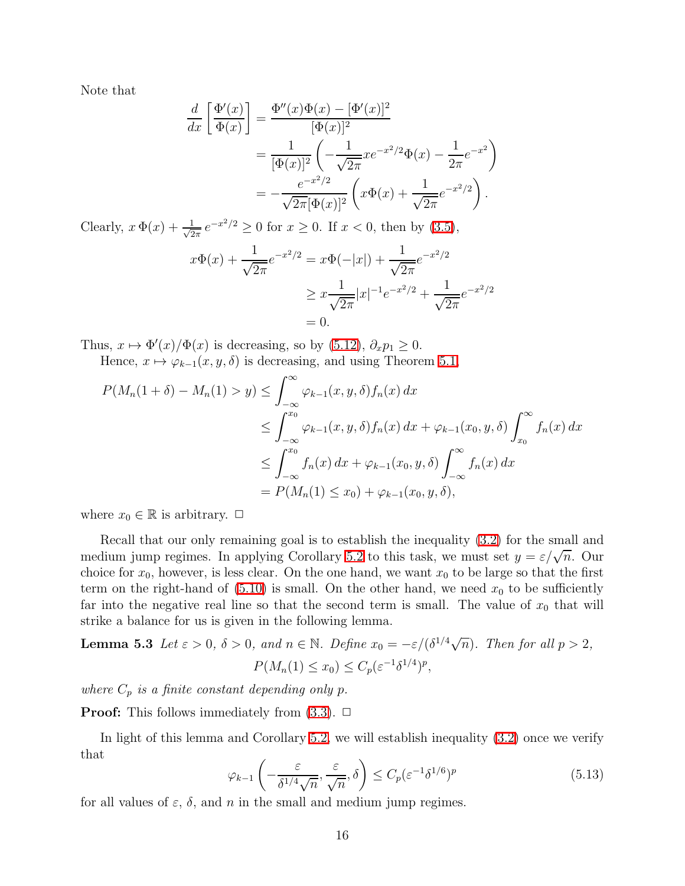Note that

$$
\frac{d}{dx} \left[ \frac{\Phi'(x)}{\Phi(x)} \right] = \frac{\Phi''(x)\Phi(x) - [\Phi'(x)]^2}{[\Phi(x)]^2}
$$
  
\n
$$
= \frac{1}{[\Phi(x)]^2} \left( -\frac{1}{\sqrt{2\pi}} x e^{-x^2/2} \Phi(x) - \frac{1}{2\pi} e^{-x^2} \right)
$$
  
\n
$$
= -\frac{e^{-x^2/2}}{\sqrt{2\pi} [\Phi(x)]^2} \left( x\Phi(x) + \frac{1}{\sqrt{2\pi}} e^{-x^2/2} \right).
$$

Clearly,  $x \Phi(x) + \frac{1}{\sqrt{2}}$  $\frac{1}{2\pi}e^{-x^2/2} \ge 0$  for  $x \ge 0$ . If  $x < 0$ , then by  $(3.5)$ ,

$$
x\Phi(x) + \frac{1}{\sqrt{2\pi}}e^{-x^2/2} = x\Phi(-|x|) + \frac{1}{\sqrt{2\pi}}e^{-x^2/2}
$$
  
 
$$
\geq x\frac{1}{\sqrt{2\pi}}|x|^{-1}e^{-x^2/2} + \frac{1}{\sqrt{2\pi}}e^{-x^2/2}
$$
  
= 0.

Thus,  $x \mapsto \Phi'(x)/\Phi(x)$  is decreasing, so by [\(5.12\)](#page-14-1),  $\partial_x p_1 \geq 0$ .

Hence,  $x \mapsto \varphi_{k-1}(x, y, \delta)$  is decreasing, and using Theorem [5.1,](#page-10-0)

$$
P(M_n(1+\delta) - M_n(1) > y) \le \int_{-\infty}^{\infty} \varphi_{k-1}(x, y, \delta) f_n(x) dx
$$
  
\n
$$
\le \int_{-\infty}^{x_0} \varphi_{k-1}(x, y, \delta) f_n(x) dx + \varphi_{k-1}(x_0, y, \delta) \int_{x_0}^{\infty} f_n(x) dx
$$
  
\n
$$
\le \int_{-\infty}^{x_0} f_n(x) dx + \varphi_{k-1}(x_0, y, \delta) \int_{-\infty}^{\infty} f_n(x) dx
$$
  
\n
$$
= P(M_n(1) \le x_0) + \varphi_{k-1}(x_0, y, \delta),
$$

where  $x_0 \in \mathbb{R}$  is arbitrary.  $\Box$ 

Recall that our only remaining goal is to establish the inequality [\(3.2\)](#page-6-1) for the small and medium jump regimes. In applying Corollary [5.2](#page-14-2) to this task, we must set  $y = \varepsilon/\sqrt{n}$ . Our choice for  $x_0$ , however, is less clear. On the one hand, we want  $x_0$  to be large so that the first term on the right-hand of  $(5.10)$  is small. On the other hand, we need  $x_0$  to be sufficiently far into the negative real line so that the second term is small. The value of  $x_0$  that will strike a balance for us is given in the following lemma.

<span id="page-15-1"></span>**Lemma 5.3** Let 
$$
\varepsilon > 0
$$
,  $\delta > 0$ , and  $n \in \mathbb{N}$ . Define  $x_0 = -\varepsilon/(\delta^{1/4}\sqrt{n})$ . Then for all  $p > 2$ ,  

$$
P(M_n(1) \le x_0) \le C_p(\varepsilon^{-1}\delta^{1/4})^p,
$$

*where*  $C_p$  *is a finite constant depending only p.* 

**Proof:** This follows immediately from  $(3.3)$ .  $\Box$ 

<span id="page-15-0"></span>In light of this lemma and Corollary [5.2,](#page-14-2) we will establish inequality [\(3.2\)](#page-6-1) once we verify that

$$
\varphi_{k-1}\left(-\frac{\varepsilon}{\delta^{1/4}\sqrt{n}}, \frac{\varepsilon}{\sqrt{n}}, \delta\right) \le C_p(\varepsilon^{-1}\delta^{1/6})^p \tag{5.13}
$$

for all values of  $\varepsilon$ ,  $\delta$ , and n in the small and medium jump regimes.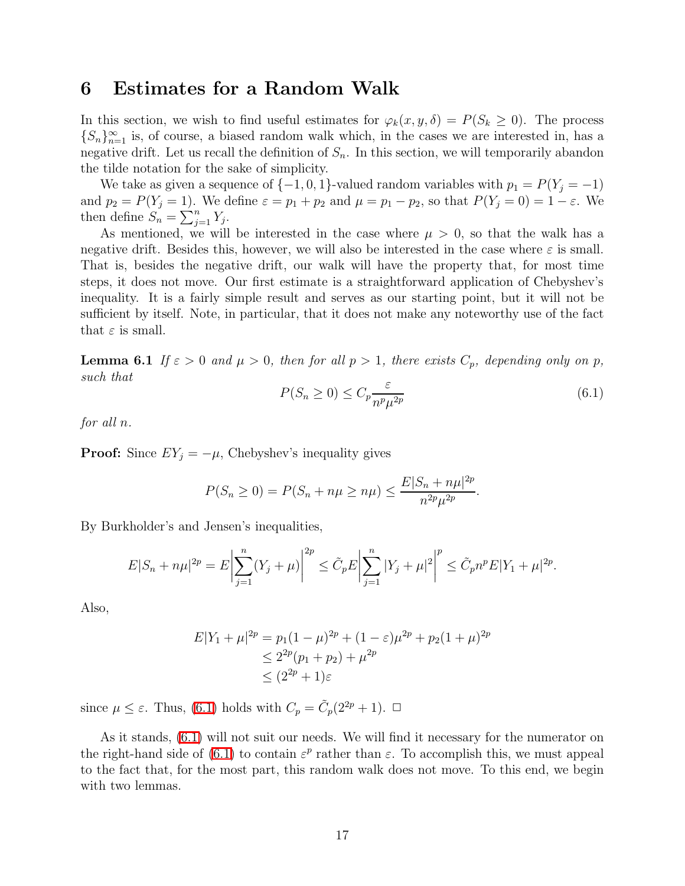#### 6 Estimates for a Random Walk

In this section, we wish to find useful estimates for  $\varphi_k(x, y, \delta) = P(S_k \ge 0)$ . The process  ${S_n}_{n=1}^{\infty}$  is, of course, a biased random walk which, in the cases we are interested in, has a negative drift. Let us recall the definition of  $S_n$ . In this section, we will temporarily abandon the tilde notation for the sake of simplicity.

We take as given a sequence of  $\{-1, 0, 1\}$ -valued random variables with  $p_1 = P(Y_i = -1)$ and  $p_2 = P(Y_j = 1)$ . We define  $\varepsilon = p_1 + p_2$  and  $\mu = p_1 - p_2$ , so that  $P(Y_j = 0) = 1 - \varepsilon$ . We then define  $S_n = \sum_{j=1}^n Y_j$ .

As mentioned, we will be interested in the case where  $\mu > 0$ , so that the walk has a negative drift. Besides this, however, we will also be interested in the case where  $\varepsilon$  is small. That is, besides the negative drift, our walk will have the property that, for most time steps, it does not move. Our first estimate is a straightforward application of Chebyshev's inequality. It is a fairly simple result and serves as our starting point, but it will not be sufficient by itself. Note, in particular, that it does not make any noteworthy use of the fact that  $\varepsilon$  is small.

<span id="page-16-2"></span><span id="page-16-0"></span>**Lemma 6.1** *If*  $\varepsilon > 0$  *and*  $\mu > 0$ *, then for all*  $p > 1$ *, there exists*  $C_p$ *, depending only on* p*, such that*

$$
P(S_n \ge 0) \le C_p \frac{\varepsilon}{n^p \mu^{2p}} \tag{6.1}
$$

*for all* n*.*

**Proof:** Since  $EY_j = -\mu$ , Chebyshev's inequality gives

$$
P(S_n \ge 0) = P(S_n + n\mu \ge n\mu) \le \frac{E|S_n + n\mu|^{2p}}{n^{2p}\mu^{2p}}.
$$

By Burkholder's and Jensen's inequalities,

$$
E|S_n + n\mu|^{2p} = E\left|\sum_{j=1}^n (Y_j + \mu)\right|^{2p} \le \tilde{C}_p E\left|\sum_{j=1}^n |Y_j + \mu|^2\right|^p \le \tilde{C}_p n^p E|Y_1 + \mu|^{2p}.
$$

Also,

$$
E|Y_1 + \mu|^{2p} = p_1(1 - \mu)^{2p} + (1 - \varepsilon)\mu^{2p} + p_2(1 + \mu)^{2p}
$$
  
\n
$$
\leq 2^{2p}(p_1 + p_2) + \mu^{2p}
$$
  
\n
$$
\leq (2^{2p} + 1)\varepsilon
$$

since  $\mu \leq \varepsilon$ . Thus, [\(6.1\)](#page-16-0) holds with  $C_p = \tilde{C}_p(2^{2p} + 1)$ .  $\Box$ 

<span id="page-16-1"></span>As it stands, [\(6.1\)](#page-16-0) will not suit our needs. We will find it necessary for the numerator on the right-hand side of [\(6.1\)](#page-16-0) to contain  $\varepsilon^p$  rather than  $\varepsilon$ . To accomplish this, we must appeal to the fact that, for the most part, this random walk does not move. To this end, we begin with two lemmas.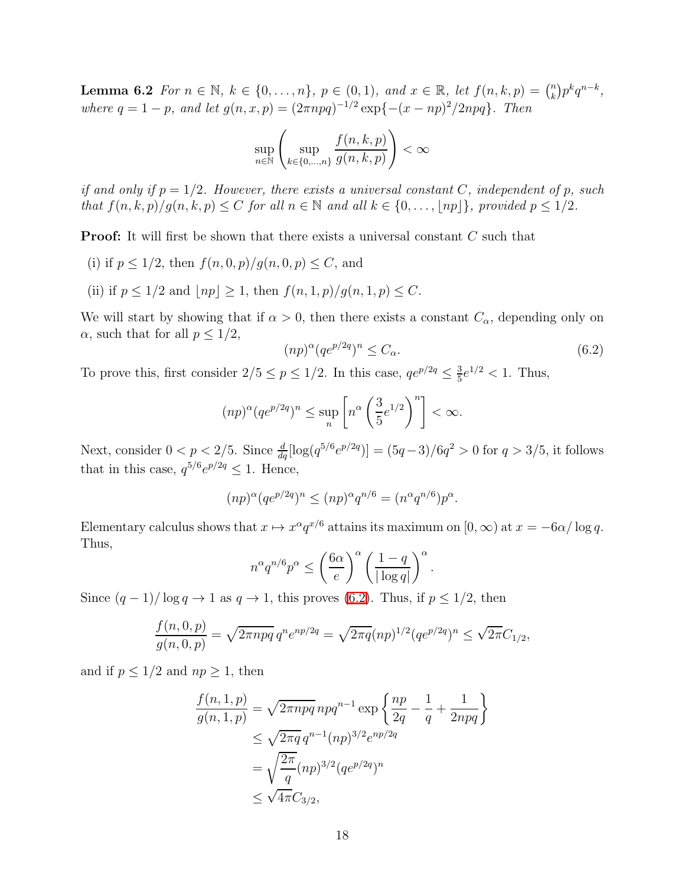**Lemma 6.2** *For*  $n \in \mathbb{N}$ *,*  $k \in \{0, ..., n\}$ *,*  $p \in (0, 1)$ *, and*  $x \in \mathbb{R}$ *, let*  $f(n, k, p) = \binom{n}{k}$  $\binom{n}{k} p^k q^{n-k},$ *where*  $q = 1 - p$ *, and let*  $g(n, x, p) = (2\pi npq)^{-1/2} \exp\{-(x - np)^2/2npq\}$ *. Then* 

$$
\sup_{n \in \mathbb{N}} \left( \sup_{k \in \{0, \dots, n\}} \frac{f(n, k, p)}{g(n, k, p)} \right) < \infty
$$

*if and only if*  $p = 1/2$ *. However, there exists a universal constant* C, *independent* of p, such *that*  $f(n, k, p)/g(n, k, p) \leq C$  *for all*  $n \in \mathbb{N}$  *and all*  $k \in \{0, \ldots, \lfloor np \rfloor\}$ *, provided*  $p \leq 1/2$ *.* 

**Proof:** It will first be shown that there exists a universal constant C such that

- (i) if  $p \leq 1/2$ , then  $f(n, 0, p)/g(n, 0, p) \leq C$ , and
- <span id="page-17-0"></span>(ii) if  $p \leq 1/2$  and  $|np| \geq 1$ , then  $f(n, 1, p)/q(n, 1, p) \leq C$ .

We will start by showing that if  $\alpha > 0$ , then there exists a constant  $C_{\alpha}$ , depending only on  $\alpha$ , such that for all  $p \leq 1/2$ ,

$$
(np)^{\alpha} (qe^{p/2q})^n \le C_{\alpha}.\tag{6.2}
$$

To prove this, first consider  $2/5 \le p \le 1/2$ . In this case,  $qe^{p/2q} \le \frac{3}{5}$  $\frac{3}{5}e^{1/2} < 1$ . Thus,

$$
(np)^{\alpha} (qe^{p/2q})^n \le \sup_n \left[ n^{\alpha} \left( \frac{3}{5} e^{1/2} \right)^n \right] < \infty.
$$

Next, consider  $0 < p < 2/5$ . Since  $\frac{d}{dq} [\log(q^{5/6}e^{p/2q})] = (5q-3)/6q^2 > 0$  for  $q > 3/5$ , it follows that in this case,  $q^{5/6}e^{p/2q} \leq 1$ . Hence,

$$
(np)^{\alpha} (qe^{p/2q})^n \le (np)^{\alpha} q^{n/6} = (n^{\alpha} q^{n/6})p^{\alpha}.
$$

Elementary calculus shows that  $x \mapsto x^{\alpha} q^{x/6}$  attains its maximum on  $[0, \infty)$  at  $x = -6\alpha/\log q$ . Thus,

$$
n^{\alpha}q^{n/6}p^{\alpha} \le \left(\frac{6\alpha}{e}\right)^{\alpha} \left(\frac{1-q}{|\log q|}\right)^{\alpha}.
$$

Since  $(q-1)/\log q \to 1$  as  $q \to 1$ , this proves [\(6.2\)](#page-17-0). Thus, if  $p \leq 1/2$ , then

$$
\frac{f(n,0,p)}{g(n,0,p)} = \sqrt{2\pi npq} \, q^n e^{np/2q} = \sqrt{2\pi q} (np)^{1/2} (qe^{p/2q})^n \le \sqrt{2\pi} C_{1/2},
$$

and if  $p \leq 1/2$  and  $np \geq 1$ , then

$$
\frac{f(n,1,p)}{g(n,1,p)} = \sqrt{2\pi npq} npq^{n-1} \exp\left\{\frac{np}{2q} - \frac{1}{q} + \frac{1}{2npq}\right\}
$$
  
\n
$$
\leq \sqrt{2\pi q} q^{n-1} (np)^{3/2} e^{np/2q}
$$
  
\n
$$
= \sqrt{\frac{2\pi}{q}} (np)^{3/2} (qe^{p/2q})^n
$$
  
\n
$$
\leq \sqrt{4\pi} C_{3/2},
$$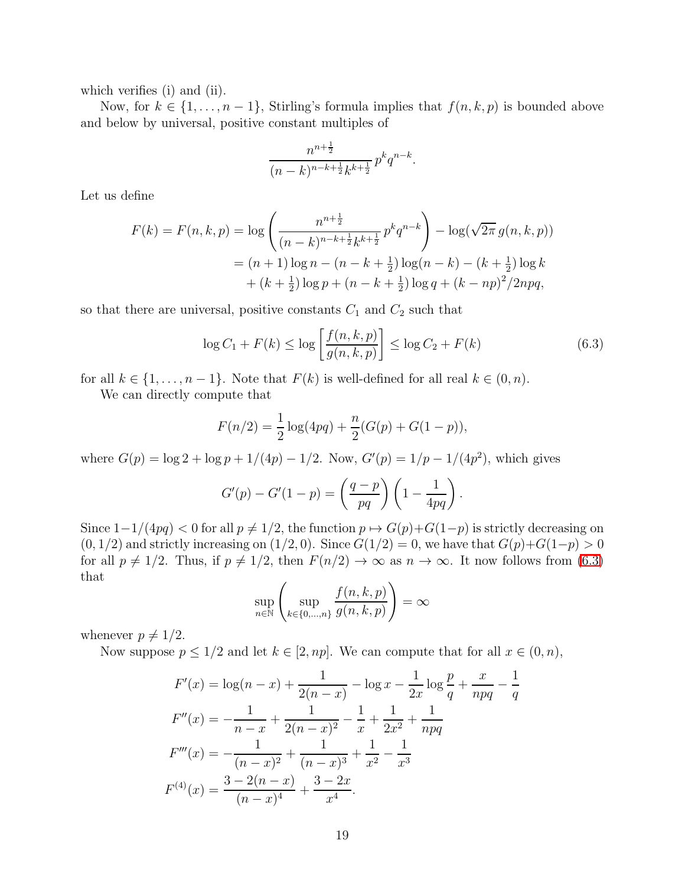which verifies (i) and (ii).

Now, for  $k \in \{1, \ldots, n-1\}$ , Stirling's formula implies that  $f(n, k, p)$  is bounded above and below by universal, positive constant multiples of

<span id="page-18-0"></span>
$$
\frac{n^{n+\frac{1}{2}}}{(n-k)^{n-k+\frac{1}{2}}k^{k+\frac{1}{2}}}p^k q^{n-k}.
$$

Let us define

$$
F(k) = F(n, k, p) = \log \left( \frac{n^{n + \frac{1}{2}}}{(n - k)^{n - k + \frac{1}{2}} k^{k + \frac{1}{2}}} p^k q^{n - k} \right) - \log(\sqrt{2\pi} g(n, k, p))
$$
  
=  $(n + 1) \log n - (n - k + \frac{1}{2}) \log(n - k) - (k + \frac{1}{2}) \log k$   
+  $(k + \frac{1}{2}) \log p + (n - k + \frac{1}{2}) \log q + (k - np)^2 / 2npq$ ,

so that there are universal, positive constants  $C_1$  and  $C_2$  such that

$$
\log C_1 + F(k) \le \log \left[ \frac{f(n, k, p)}{g(n, k, p)} \right] \le \log C_2 + F(k)
$$
 (6.3)

for all  $k \in \{1, \ldots, n-1\}$ . Note that  $F(k)$  is well-defined for all real  $k \in (0, n)$ .

We can directly compute that

$$
F(n/2) = \frac{1}{2}\log(4pq) + \frac{n}{2}(G(p) + G(1-p)),
$$

where  $G(p) = \log 2 + \log p + 1/(4p) - 1/2$ . Now,  $G'(p) = 1/p - 1/(4p^2)$ , which gives

$$
G'(p) - G'(1-p) = \left(\frac{q-p}{pq}\right)\left(1 - \frac{1}{4pq}\right).
$$

Since  $1-1/(4pq) < 0$  for all  $p \neq 1/2$ , the function  $p \mapsto G(p)+G(1-p)$  is strictly decreasing on  $(0, 1/2)$  and strictly increasing on  $(1/2, 0)$ . Since  $G(1/2) = 0$ , we have that  $G(p)+G(1-p) > 0$ for all  $p \neq 1/2$ . Thus, if  $p \neq 1/2$ , then  $F(n/2) \to \infty$  as  $n \to \infty$ . It now follows from [\(6.3\)](#page-18-0) that

$$
\sup_{n \in \mathbb{N}} \left( \sup_{k \in \{0, \dots, n\}} \frac{f(n, k, p)}{g(n, k, p)} \right) = \infty
$$

whenever  $p \neq 1/2$ .

Now suppose  $p \leq 1/2$  and let  $k \in [2, np]$ . We can compute that for all  $x \in (0, n)$ ,

$$
F'(x) = \log(n - x) + \frac{1}{2(n - x)} - \log x - \frac{1}{2x} \log \frac{p}{q} + \frac{x}{npq} - \frac{1}{q}
$$
  
\n
$$
F''(x) = -\frac{1}{n - x} + \frac{1}{2(n - x)^2} - \frac{1}{x} + \frac{1}{2x^2} + \frac{1}{npq}
$$
  
\n
$$
F'''(x) = -\frac{1}{(n - x)^2} + \frac{1}{(n - x)^3} + \frac{1}{x^2} - \frac{1}{x^3}
$$
  
\n
$$
F^{(4)}(x) = \frac{3 - 2(n - x)}{(n - x)^4} + \frac{3 - 2x}{x^4}.
$$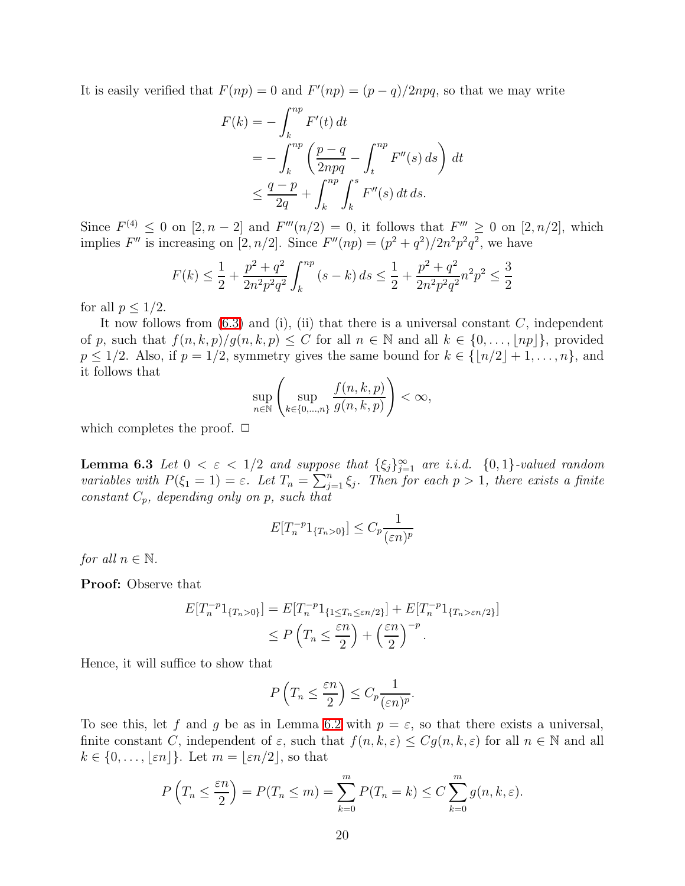It is easily verified that  $F(np) = 0$  and  $F'(np) = (p - q)/2npq$ , so that we may write

$$
F(k) = -\int_{k}^{np} F'(t) dt
$$
  
=  $-\int_{k}^{np} \left(\frac{p-q}{2npq} - \int_{t}^{np} F''(s) ds\right) dt$   
 $\leq \frac{q-p}{2q} + \int_{k}^{np} \int_{k}^{s} F''(s) dt ds.$ 

Since  $F^{(4)} \n\leq 0$  on  $[2, n-2]$  and  $F'''(n/2) = 0$ , it follows that  $F''' \geq 0$  on  $[2, n/2]$ , which implies F'' is increasing on [2, n/2]. Since  $F''(np) = (p^2 + q^2)/2n^2p^2q^2$ , we have

$$
F(k) \le \frac{1}{2} + \frac{p^2 + q^2}{2n^2p^2q^2} \int_k^{np} (s - k) ds \le \frac{1}{2} + \frac{p^2 + q^2}{2n^2p^2q^2} n^2p^2 \le \frac{3}{2}
$$

for all  $p \leq 1/2$ .

It now follows from  $(6.3)$  and  $(i)$ ,  $(ii)$  that there is a universal constant C, independent of p, such that  $f(n, k, p)/g(n, k, p) \leq C$  for all  $n \in \mathbb{N}$  and all  $k \in \{0, \ldots, |np|\}$ , provided  $p \le 1/2$ . Also, if  $p = 1/2$ , symmetry gives the same bound for  $k \in \{[n/2]+1,\ldots,n\}$ , and it follows that

$$
\sup_{n\in\mathbb{N}}\left(\sup_{k\in\{0,\ldots,n\}}\frac{f(n,k,p)}{g(n,k,p)}\right)<\infty,
$$

<span id="page-19-0"></span>which completes the proof.  $\Box$ 

**Lemma 6.3** Let  $0 < \varepsilon < 1/2$  and suppose that  $\{\xi_j\}_{j=1}^{\infty}$  are *i.i.d.*  $\{0,1\}$ -valued random *variables with*  $P(\xi_1 = 1) = \varepsilon$ . Let  $T_n = \sum_{j=1}^n \xi_j$ . Then for each  $p > 1$ , there exists a finite *constant* Cp*, depending only on* p*, such that*

$$
E[T_n^{-p}1_{\{T_n>0\}}] \le C_p \frac{1}{(\varepsilon n)^p}
$$

*for all*  $n \in \mathbb{N}$ *.* 

Proof: Observe that

$$
E[T_n^{-p}1_{\{T_n>0\}}] = E[T_n^{-p}1_{\{1 \le T_n \le \varepsilon n/2\}}] + E[T_n^{-p}1_{\{T_n>\varepsilon n/2\}}]
$$

$$
\le P\left(T_n \le \frac{\varepsilon n}{2}\right) + \left(\frac{\varepsilon n}{2}\right)^{-p}.
$$

Hence, it will suffice to show that

$$
P\left(T_n \leq \frac{\varepsilon n}{2}\right) \leq C_p \frac{1}{(\varepsilon n)^p}.
$$

To see this, let f and g be as in Lemma [6.2](#page-16-1) with  $p = \varepsilon$ , so that there exists a universal, finite constant C, independent of  $\varepsilon$ , such that  $f(n, k, \varepsilon) \leq C g(n, k, \varepsilon)$  for all  $n \in \mathbb{N}$  and all  $k \in \{0, \ldots, |\varepsilon n| \}$ . Let  $m = |\varepsilon n/2|$ , so that

$$
P\left(T_n \leq \frac{\varepsilon n}{2}\right) = P(T_n \leq m) = \sum_{k=0}^{m} P(T_n = k) \leq C \sum_{k=0}^{m} g(n, k, \varepsilon).
$$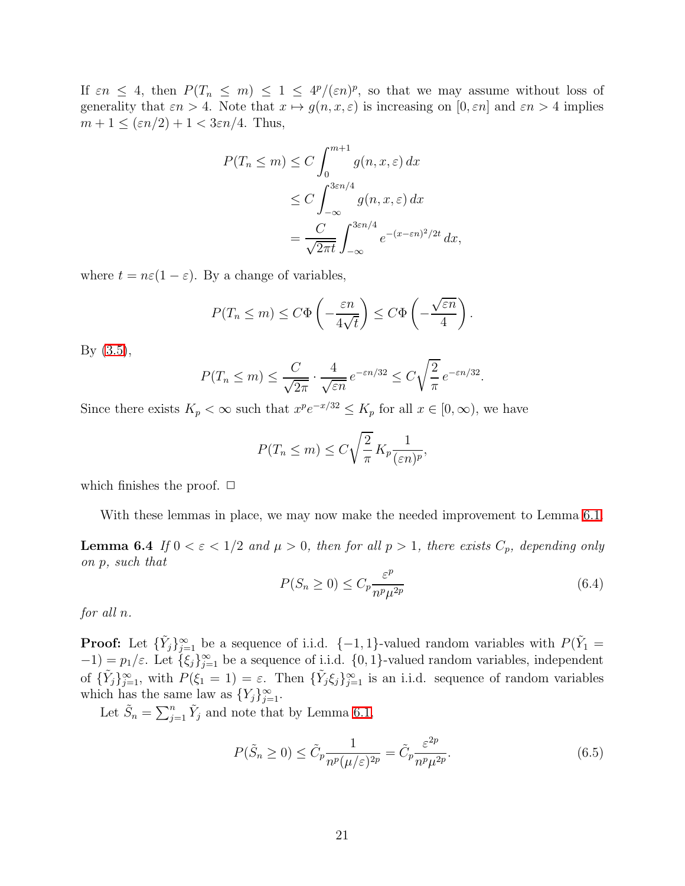If  $\varepsilon n \leq 4$ , then  $P(T_n \leq m) \leq 1 \leq 4^p/(\varepsilon n)^p$ , so that we may assume without loss of generality that  $\varepsilon n > 4$ . Note that  $x \mapsto g(n, x, \varepsilon)$  is increasing on  $[0, \varepsilon n]$  and  $\varepsilon n > 4$  implies  $m+1 \leq (\varepsilon n/2)+1 < 3\varepsilon n/4$ . Thus,

$$
P(T_n \le m) \le C \int_0^{m+1} g(n, x, \varepsilon) dx
$$
  
\n
$$
\le C \int_{-\infty}^{3\varepsilon n/4} g(n, x, \varepsilon) dx
$$
  
\n
$$
= \frac{C}{\sqrt{2\pi t}} \int_{-\infty}^{3\varepsilon n/4} e^{-(x-\varepsilon n)^2/2t} dx,
$$

where  $t = n\varepsilon(1 - \varepsilon)$ . By a change of variables,

$$
P(T_n \le m) \le C\Phi\left(-\frac{\varepsilon n}{4\sqrt{t}}\right) \le C\Phi\left(-\frac{\sqrt{\varepsilon n}}{4}\right)
$$

By [\(3.5\)](#page-7-2),

$$
P(T_n \le m) \le \frac{C}{\sqrt{2\pi}} \cdot \frac{4}{\sqrt{\varepsilon n}} e^{-\varepsilon n/32} \le C\sqrt{\frac{2}{\pi}} e^{-\varepsilon n/32}
$$

Since there exists  $K_p < \infty$  such that  $x^p e^{-x/32} \le K_p$  for all  $x \in [0, \infty)$ , we have

$$
P(T_n \le m) \le C \sqrt{\frac{2}{\pi}} K_p \frac{1}{(\varepsilon n)^p},
$$

which finishes the proof.  $\Box$ 

With these lemmas in place, we may now make the needed improvement to Lemma [6.1.](#page-16-2)

<span id="page-20-2"></span><span id="page-20-0"></span>**Lemma 6.4** *If*  $0 < \varepsilon < 1/2$  *and*  $\mu > 0$ *, then for all*  $p > 1$ *, there exists*  $C_p$ *, depending only on* p*, such that*

$$
P(S_n \ge 0) \le C_p \frac{\varepsilon^p}{n^p \mu^{2p}} \tag{6.4}
$$

.

.

*for all* n*.*

**Proof:** Let  $\{\tilde{Y}_j\}_{j=1}^{\infty}$  be a sequence of i.i.d.  $\{-1, 1\}$ -valued random variables with  $P(\tilde{Y}_1 =$  $(-1) = p_1/\varepsilon$ . Let  $\{\xi_j\}_{j=1}^{\infty}$  be a sequence of i.i.d.  $\{0, 1\}$ -valued random variables, independent of  $\{\tilde{Y}_j\}_{j=1}^{\infty}$ , with  $P(\xi_1 = 1) = \varepsilon$ . Then  $\{\tilde{Y}_j \xi_j\}_{j=1}^{\infty}$  is an i.i.d. sequence of random variables which has the same law as  $\{Y_j\}_{j=1}^{\infty}$ .

Let  $\tilde{S}_n = \sum_{j=1}^n \tilde{Y}_j$  and note that by Lemma [6.1,](#page-16-2)

<span id="page-20-1"></span>
$$
P(\tilde{S}_n \ge 0) \le \tilde{C}_p \frac{1}{n^p (\mu/\varepsilon)^{2p}} = \tilde{C}_p \frac{\varepsilon^{2p}}{n^p \mu^{2p}}.
$$
\n(6.5)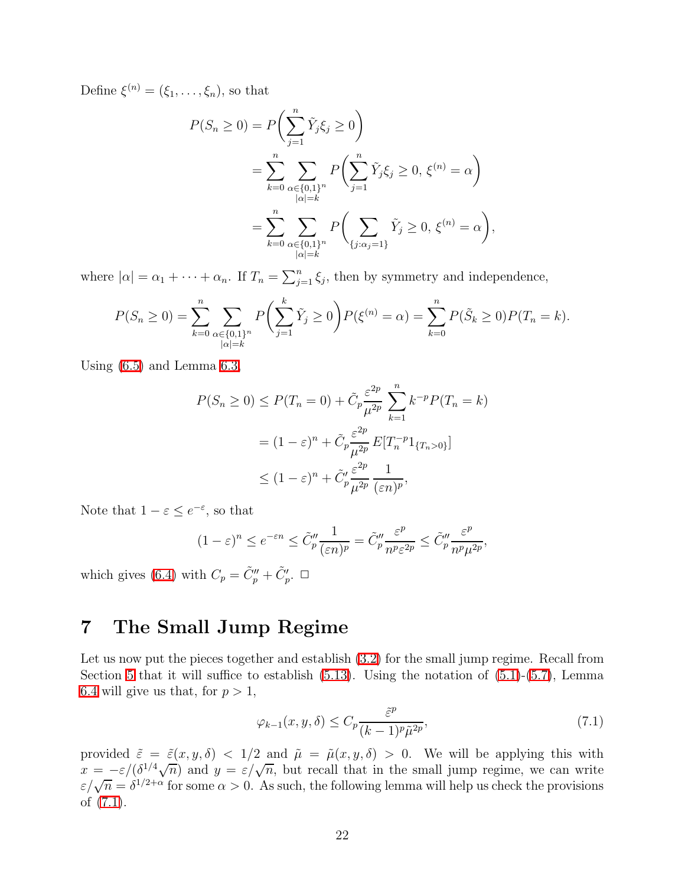Define  $\xi^{(n)} = (\xi_1, \ldots, \xi_n)$ , so that

$$
P(S_n \ge 0) = P\left(\sum_{j=1}^n \tilde{Y}_j \xi_j \ge 0\right)
$$
  
= 
$$
\sum_{k=0}^n \sum_{\substack{\alpha \in \{0,1\}^n \\ |\alpha| = k}} P\left(\sum_{j=1}^n \tilde{Y}_j \xi_j \ge 0, \xi^{(n)} = \alpha\right)
$$
  
= 
$$
\sum_{k=0}^n \sum_{\substack{\alpha \in \{0,1\}^n \\ |\alpha| = k}} P\left(\sum_{\{j: \alpha_j = 1\}} \tilde{Y}_j \ge 0, \xi^{(n)} = \alpha\right),
$$

where  $|\alpha| = \alpha_1 + \cdots + \alpha_n$ . If  $T_n = \sum_{j=1}^n \xi_j$ , then by symmetry and independence,

$$
P(S_n \ge 0) = \sum_{k=0}^n \sum_{\substack{\alpha \in \{0,1\}^n \\ |\alpha| = k}} P\left(\sum_{j=1}^k \tilde{Y}_j \ge 0\right) P(\xi^{(n)} = \alpha) = \sum_{k=0}^n P(\tilde{S}_k \ge 0) P(T_n = k).
$$

Using [\(6.5\)](#page-20-1) and Lemma [6.3,](#page-19-0)

$$
P(S_n \ge 0) \le P(T_n = 0) + \tilde{C}_p \frac{\varepsilon^{2p}}{\mu^{2p}} \sum_{k=1}^n k^{-p} P(T_n = k)
$$

$$
= (1 - \varepsilon)^n + \tilde{C}_p \frac{\varepsilon^{2p}}{\mu^{2p}} E[T_n^{-p} 1_{\{T_n > 0\}}]
$$

$$
\le (1 - \varepsilon)^n + \tilde{C}_p' \frac{\varepsilon^{2p}}{\mu^{2p}} \frac{1}{(\varepsilon n)^p},
$$

Note that  $1 - \varepsilon \leq e^{-\varepsilon}$ , so that

$$
(1-\varepsilon)^n \le e^{-\varepsilon n} \le \tilde{C}_p'' \frac{1}{(\varepsilon n)^p} = \tilde{C}_p'' \frac{\varepsilon^p}{n^p \varepsilon^{2p}} \le \tilde{C}_p'' \frac{\varepsilon^p}{n^p \mu^{2p}},
$$

which gives [\(6.4\)](#page-20-2) with  $C_p = \tilde{C}_p'' + \tilde{C}_p'$ .  $\Box$ 

#### <span id="page-21-2"></span>7 The Small Jump Regime

Let us now put the pieces together and establish  $(3.2)$  for the small jump regime. Recall from Section [5](#page-9-0) that it will suffice to establish  $(5.13)$ . Using the notation of  $(5.1)-(5.7)$  $(5.1)-(5.7)$ , Lemma [6.4](#page-20-0) will give us that, for  $p > 1$ ,

<span id="page-21-1"></span>
$$
\varphi_{k-1}(x, y, \delta) \le C_p \frac{\tilde{\varepsilon}^p}{(k-1)^p \tilde{\mu}^{2p}},\tag{7.1}
$$

<span id="page-21-0"></span>provided  $\tilde{\varepsilon} = \tilde{\varepsilon}(x, y, \delta) < 1/2$  and  $\tilde{\mu} = \tilde{\mu}(x, y, \delta) > 0$ . We will be applying this with  $x = -\varepsilon/(\delta^{1/4}\sqrt{n})$  and  $y = \varepsilon/\sqrt{n}$ , but recall that in the small jump regime, we can write  $\varepsilon/\sqrt{n} = \delta^{1/2+\alpha}$  for some  $\alpha > 0$ . As such, the following lemma will help us check the provisions of [\(7.1\)](#page-21-1).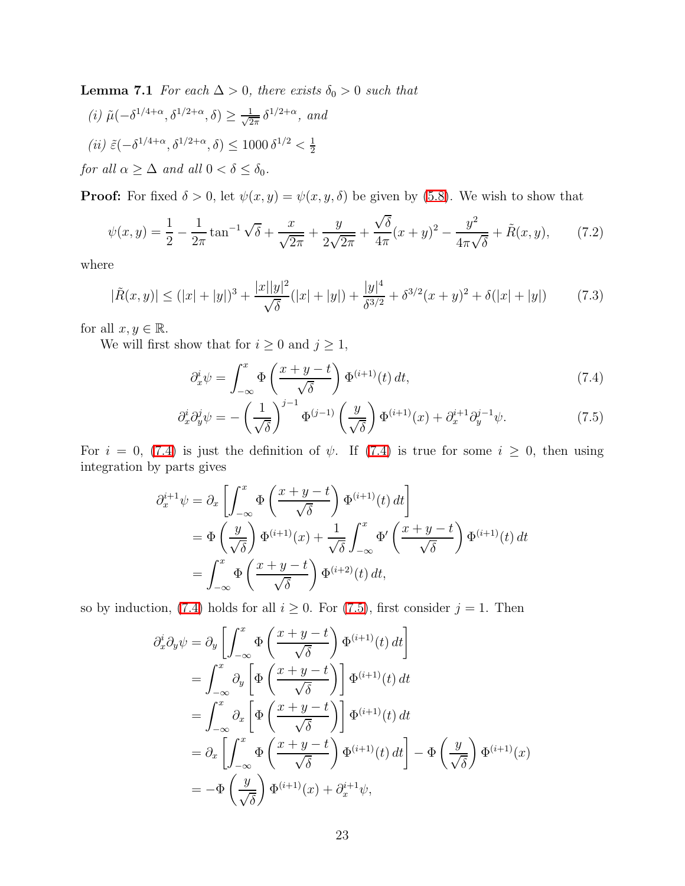**Lemma 7.1** *For each*  $\Delta > 0$ *, there exists*  $\delta_0 > 0$  *such that* 

(i) 
$$
\tilde{\mu}(-\delta^{1/4+\alpha}, \delta^{1/2+\alpha}, \delta) \ge \frac{1}{\sqrt{2\pi}} \delta^{1/2+\alpha}
$$
, and  
\n(ii)  $\tilde{\varepsilon}(-\delta^{1/4+\alpha}, \delta^{1/2+\alpha}, \delta) \le 1000 \delta^{1/2} < \frac{1}{2}$   
\nfor all  $\alpha \ge \Delta$  and all  $0 < \delta \le \delta_0$ .

**Proof:** For fixed  $\delta > 0$ , let  $\psi(x, y) = \psi(x, y, \delta)$  be given by [\(5.8\)](#page-12-0). We wish to show that

$$
\psi(x,y) = \frac{1}{2} - \frac{1}{2\pi} \tan^{-1} \sqrt{\delta} + \frac{x}{\sqrt{2\pi}} + \frac{y}{2\sqrt{2\pi}} + \frac{\sqrt{\delta}}{4\pi} (x+y)^2 - \frac{y^2}{4\pi\sqrt{\delta}} + \tilde{R}(x,y),\tag{7.2}
$$

<span id="page-22-3"></span>where

$$
|\tilde{R}(x,y)| \le (|x|+|y|)^3 + \frac{|x||y|^2}{\sqrt{\delta}}(|x|+|y|) + \frac{|y|^4}{\delta^{3/2}} + \delta^{3/2}(x+y)^2 + \delta(|x|+|y|)
$$
(7.3)

for all  $x, y \in \mathbb{R}$ .

We will first show that for  $i\geq 0$  and  $j\geq 1,$ 

<span id="page-22-2"></span><span id="page-22-1"></span><span id="page-22-0"></span>
$$
\partial_x^i \psi = \int_{-\infty}^x \Phi\left(\frac{x+y-t}{\sqrt{\delta}}\right) \Phi^{(i+1)}(t) dt, \tag{7.4}
$$

$$
\partial_x^i \partial_y^j \psi = -\left(\frac{1}{\sqrt{\delta}}\right)^{j-1} \Phi^{(j-1)}\left(\frac{y}{\sqrt{\delta}}\right) \Phi^{(i+1)}(x) + \partial_x^{i+1} \partial_y^{j-1} \psi.
$$
 (7.5)

For  $i = 0$ , [\(7.4\)](#page-22-0) is just the definition of  $\psi$ . If (7.4) is true for some  $i \geq 0$ , then using integration by parts gives

$$
\partial_x^{i+1} \psi = \partial_x \left[ \int_{-\infty}^x \Phi\left(\frac{x+y-t}{\sqrt{\delta}}\right) \Phi^{(i+1)}(t) dt \right]
$$
  
= 
$$
\Phi\left(\frac{y}{\sqrt{\delta}}\right) \Phi^{(i+1)}(x) + \frac{1}{\sqrt{\delta}} \int_{-\infty}^x \Phi'\left(\frac{x+y-t}{\sqrt{\delta}}\right) \Phi^{(i+1)}(t) dt
$$
  
= 
$$
\int_{-\infty}^x \Phi\left(\frac{x+y-t}{\sqrt{\delta}}\right) \Phi^{(i+2)}(t) dt,
$$

so by induction, [\(7.4\)](#page-22-0) holds for all  $i \geq 0$ . For [\(7.5\)](#page-22-1), first consider  $j = 1$ . Then

$$
\partial_x^i \partial_y \psi = \partial_y \left[ \int_{-\infty}^x \Phi\left(\frac{x+y-t}{\sqrt{\delta}}\right) \Phi^{(i+1)}(t) dt \right]
$$
  
\n
$$
= \int_{-\infty}^x \partial_y \left[ \Phi\left(\frac{x+y-t}{\sqrt{\delta}}\right) \right] \Phi^{(i+1)}(t) dt
$$
  
\n
$$
= \int_{-\infty}^x \partial_x \left[ \Phi\left(\frac{x+y-t}{\sqrt{\delta}}\right) \right] \Phi^{(i+1)}(t) dt
$$
  
\n
$$
= \partial_x \left[ \int_{-\infty}^x \Phi\left(\frac{x+y-t}{\sqrt{\delta}}\right) \Phi^{(i+1)}(t) dt \right] - \Phi\left(\frac{y}{\sqrt{\delta}}\right) \Phi^{(i+1)}(x)
$$
  
\n
$$
= -\Phi\left(\frac{y}{\sqrt{\delta}}\right) \Phi^{(i+1)}(x) + \partial_x^{i+1} \psi,
$$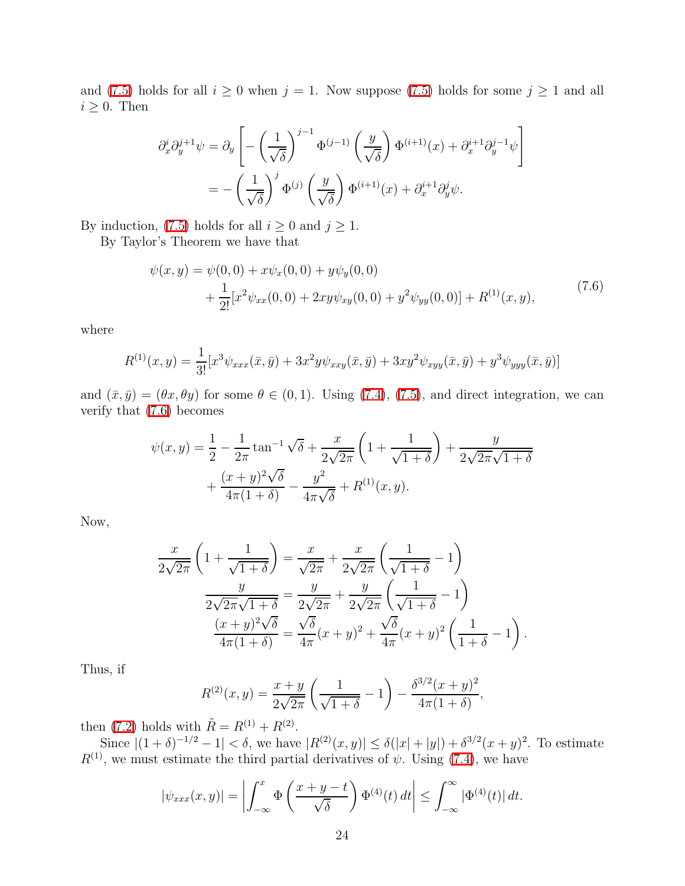and [\(7.5\)](#page-22-1) holds for all  $i \geq 0$  when  $j = 1$ . Now suppose (7.5) holds for some  $j \geq 1$  and all  $i \geq 0$ . Then

$$
\partial_x^i \partial_y^{j+1} \psi = \partial_y \left[ -\left(\frac{1}{\sqrt{\delta}}\right)^{j-1} \Phi^{(j-1)} \left(\frac{y}{\sqrt{\delta}}\right) \Phi^{(i+1)}(x) + \partial_x^{i+1} \partial_y^{j-1} \psi \right]
$$

$$
= -\left(\frac{1}{\sqrt{\delta}}\right)^j \Phi^{(j)} \left(\frac{y}{\sqrt{\delta}}\right) \Phi^{(i+1)}(x) + \partial_x^{i+1} \partial_y^j \psi.
$$

By induction, [\(7.5\)](#page-22-1) holds for all  $i \geq 0$  and  $j \geq 1$ .

By Taylor's Theorem we have that

<span id="page-23-0"></span>
$$
\psi(x,y) = \psi(0,0) + x\psi_x(0,0) + y\psi_y(0,0) \n+ \frac{1}{2!} [x^2 \psi_{xx}(0,0) + 2xy\psi_{xy}(0,0) + y^2\psi_{yy}(0,0)] + R^{(1)}(x,y),
$$
\n(7.6)

where

$$
R^{(1)}(x,y) = \frac{1}{3!} [x^3 \psi_{xxx}(\bar{x}, \bar{y}) + 3x^2 y \psi_{xxy}(\bar{x}, \bar{y}) + 3xy^2 \psi_{xyy}(\bar{x}, \bar{y}) + y^3 \psi_{yyy}(\bar{x}, \bar{y})]
$$

and  $(\bar{x}, \bar{y}) = (\theta x, \theta y)$  for some  $\theta \in (0, 1)$ . Using [\(7.4\)](#page-22-0), [\(7.5\)](#page-22-1), and direct integration, we can verify that [\(7.6\)](#page-23-0) becomes

$$
\psi(x,y) = \frac{1}{2} - \frac{1}{2\pi} \tan^{-1} \sqrt{\delta} + \frac{x}{2\sqrt{2\pi}} \left( 1 + \frac{1}{\sqrt{1+\delta}} \right) + \frac{y}{2\sqrt{2\pi}\sqrt{1+\delta}} + \frac{(x+y)^2\sqrt{\delta}}{4\pi(1+\delta)} - \frac{y^2}{4\pi\sqrt{\delta}} + R^{(1)}(x,y).
$$

Now,

$$
\frac{x}{2\sqrt{2\pi}}\left(1+\frac{1}{\sqrt{1+\delta}}\right) = \frac{x}{\sqrt{2\pi}} + \frac{x}{2\sqrt{2\pi}}\left(\frac{1}{\sqrt{1+\delta}}-1\right)
$$

$$
\frac{y}{2\sqrt{2\pi}\sqrt{1+\delta}} = \frac{y}{2\sqrt{2\pi}} + \frac{y}{2\sqrt{2\pi}}\left(\frac{1}{\sqrt{1+\delta}}-1\right)
$$

$$
\frac{(x+y)^2\sqrt{\delta}}{4\pi(1+\delta)} = \frac{\sqrt{\delta}}{4\pi}(x+y)^2 + \frac{\sqrt{\delta}}{4\pi}(x+y)^2\left(\frac{1}{1+\delta}-1\right).
$$

Thus, if

$$
R^{(2)}(x,y) = \frac{x+y}{2\sqrt{2\pi}} \left( \frac{1}{\sqrt{1+\delta}} - 1 \right) - \frac{\delta^{3/2}(x+y)^2}{4\pi(1+\delta)},
$$

then [\(7.2\)](#page-22-2) holds with  $\tilde{R} = R^{(1)} + R^{(2)}$ .

Since  $|(1+\delta)^{-1/2}-1| < \delta$ , we have  $|R^{(2)}(x,y)| \leq \delta(|x|+|y|) + \delta^{3/2}(x+y)^2$ . To estimate  $R^{(1)}$ , we must estimate the third partial derivatives of  $\psi$ . Using [\(7.4\)](#page-22-0), we have

$$
|\psi_{xxx}(x,y)| = \left| \int_{-\infty}^x \Phi\left(\frac{x+y-t}{\sqrt{\delta}}\right) \Phi^{(4)}(t) dt \right| \leq \int_{-\infty}^\infty |\Phi^{(4)}(t)| dt.
$$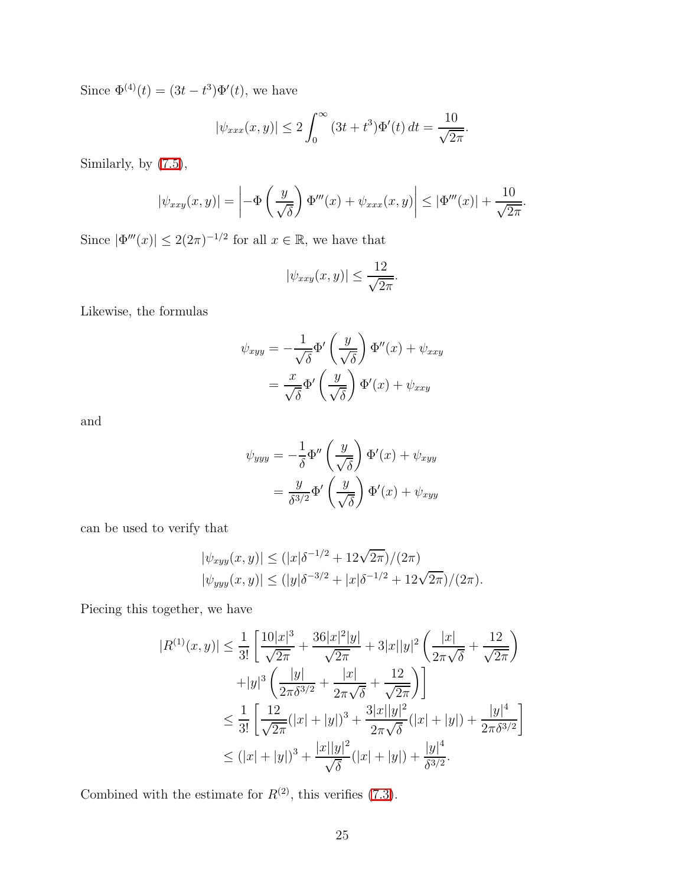Since  $\Phi^{(4)}(t) = (3t - t^3)\Phi'(t)$ , we have

$$
|\psi_{xxx}(x,y)| \le 2 \int_0^\infty (3t + t^3) \Phi'(t) dt = \frac{10}{\sqrt{2\pi}}.
$$

Similarly, by [\(7.5\)](#page-22-1),

$$
|\psi_{xxy}(x,y)| = \left| -\Phi\left(\frac{y}{\sqrt{\delta}}\right) \Phi'''(x) + \psi_{xxx}(x,y) \right| \leq |\Phi'''(x)| + \frac{10}{\sqrt{2\pi}}.
$$

Since  $|\Phi'''(x)| \leq 2(2\pi)^{-1/2}$  for all  $x \in \mathbb{R}$ , we have that

$$
|\psi_{xxy}(x,y)| \le \frac{12}{\sqrt{2\pi}}.
$$

Likewise, the formulas

$$
\psi_{xyy} = -\frac{1}{\sqrt{\delta}} \Phi' \left( \frac{y}{\sqrt{\delta}} \right) \Phi''(x) + \psi_{xxy}
$$

$$
= \frac{x}{\sqrt{\delta}} \Phi' \left( \frac{y}{\sqrt{\delta}} \right) \Phi'(x) + \psi_{xxy}
$$

and

$$
\psi_{yyy} = -\frac{1}{\delta} \Phi'' \left( \frac{y}{\sqrt{\delta}} \right) \Phi'(x) + \psi_{xyy}
$$

$$
= \frac{y}{\delta^{3/2}} \Phi' \left( \frac{y}{\sqrt{\delta}} \right) \Phi'(x) + \psi_{xyy}
$$

can be used to verify that

$$
|\psi_{xyy}(x,y)| \le (|x|\delta^{-1/2} + 12\sqrt{2\pi})/(2\pi)
$$
  

$$
|\psi_{yyy}(x,y)| \le (|y|\delta^{-3/2} + |x|\delta^{-1/2} + 12\sqrt{2\pi})/(2\pi).
$$

Piecing this together, we have

$$
|R^{(1)}(x,y)| \leq \frac{1}{3!} \left[ \frac{10|x|^3}{\sqrt{2\pi}} + \frac{36|x|^2|y|}{\sqrt{2\pi}} + 3|x||y|^2 \left( \frac{|x|}{2\pi\sqrt{\delta}} + \frac{12}{\sqrt{2\pi}} \right) + |y|^3 \left( \frac{|y|}{2\pi\delta^{3/2}} + \frac{|x|}{2\pi\sqrt{\delta}} + \frac{12}{\sqrt{2\pi}} \right) \right]
$$
  

$$
\leq \frac{1}{3!} \left[ \frac{12}{\sqrt{2\pi}} (|x| + |y|)^3 + \frac{3|x||y|^2}{2\pi\sqrt{\delta}} (|x| + |y|) + \frac{|y|^4}{2\pi\delta^{3/2}} \right]
$$
  

$$
\leq (|x| + |y|)^3 + \frac{|x||y|^2}{\sqrt{\delta}} (|x| + |y|) + \frac{|y|^4}{\delta^{3/2}}.
$$

Combined with the estimate for  $R^{(2)}$ , this verifies [\(7.3\)](#page-22-3).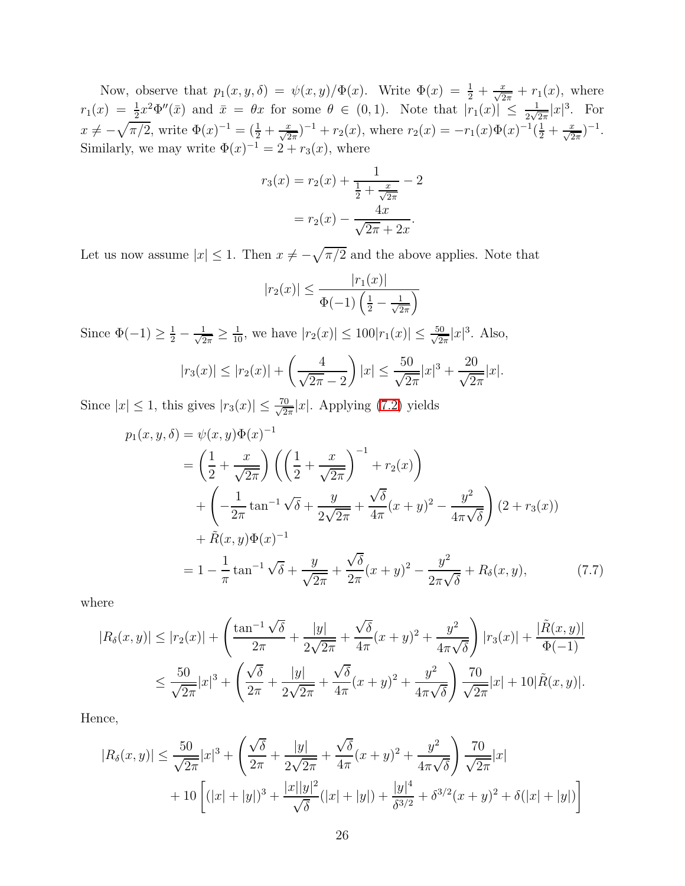Now, observe that  $p_1(x, y, \delta) = \psi(x, y) / \Phi(x)$ . Write  $\Phi(x) = \frac{1}{2} + \frac{x}{\sqrt{2\pi}} + r_1(x)$ , where  $r_1(x) = \frac{1}{2}x^2 \Phi''(\bar{x})$  and  $\bar{x} = \theta x$  for some  $\theta \in (0,1)$ . Note that  $|r_1(x)| \leq \frac{1}{2\sqrt{2\pi}}|x|^3$ . For  $x \neq -\sqrt{\pi/2}$ , write  $\Phi(x)^{-1} = (\frac{1}{2} + \frac{x}{\sqrt{2\pi}})^{-1} + r_2(x)$ , where  $r_2(x) = -r_1(x)\Phi(x)^{-1}(\frac{1}{2} + \frac{x}{\sqrt{2\pi}})^{-1}$ . Similarly, we may write  $\Phi(x)^{-1} = 2 + r_3(x)$ , where

$$
r_3(x) = r_2(x) + \frac{1}{\frac{1}{2} + \frac{x}{\sqrt{2\pi}}} - 2
$$

$$
= r_2(x) - \frac{4x}{\sqrt{2\pi} + 2x}.
$$

Let us now assume  $|x| \leq 1$ . Then  $x \neq -\sqrt{\pi/2}$  and the above applies. Note that

<span id="page-25-0"></span>
$$
|r_2(x)| \le \frac{|r_1(x)|}{\Phi(-1)\left(\frac{1}{2} - \frac{1}{\sqrt{2\pi}}\right)}
$$

Since  $\Phi(-1) \geq \frac{1}{2} - \frac{1}{\sqrt{2}}$  $\frac{1}{2\pi} \ge \frac{1}{10}$ , we have  $|r_2(x)| \le 100|r_1(x)| \le \frac{50}{\sqrt{2}}$  $\frac{10}{2\pi}|x|^3$ . Also,

$$
|r_3(x)| \le |r_2(x)| + \left(\frac{4}{\sqrt{2\pi} - 2}\right)|x| \le \frac{50}{\sqrt{2\pi}}|x|^3 + \frac{20}{\sqrt{2\pi}}|x|.
$$

Since  $|x| \leq 1$ , this gives  $|r_3(x)| \leq \frac{70}{\sqrt{2}}$  $\frac{0}{2\pi}|x|$ . Applying [\(7.2\)](#page-22-2) yields

$$
p_1(x, y, \delta) = \psi(x, y)\Phi(x)^{-1}
$$
  
=  $\left(\frac{1}{2} + \frac{x}{\sqrt{2\pi}}\right) \left(\left(\frac{1}{2} + \frac{x}{\sqrt{2\pi}}\right)^{-1} + r_2(x)\right)$   
+  $\left(-\frac{1}{2\pi} \tan^{-1} \sqrt{\delta} + \frac{y}{2\sqrt{2\pi}} + \frac{\sqrt{\delta}}{4\pi} (x + y)^2 - \frac{y^2}{4\pi \sqrt{\delta}}\right) (2 + r_3(x))$   
+  $\tilde{R}(x, y)\Phi(x)^{-1}$   
=  $1 - \frac{1}{\pi} \tan^{-1} \sqrt{\delta} + \frac{y}{\sqrt{2\pi}} + \frac{\sqrt{\delta}}{2\pi} (x + y)^2 - \frac{y^2}{2\pi \sqrt{\delta}} + R_\delta(x, y),$  (7.7)

where

$$
|R_{\delta}(x,y)| \le |r_2(x)| + \left(\frac{\tan^{-1}\sqrt{\delta}}{2\pi} + \frac{|y|}{2\sqrt{2\pi}} + \frac{\sqrt{\delta}}{4\pi}(x+y)^2 + \frac{y^2}{4\pi\sqrt{\delta}}\right)|r_3(x)| + \frac{|\tilde{R}(x,y)|}{\Phi(-1)}|
$$
  

$$
\le \frac{50}{\sqrt{2\pi}}|x|^3 + \left(\frac{\sqrt{\delta}}{2\pi} + \frac{|y|}{2\sqrt{2\pi}} + \frac{\sqrt{\delta}}{4\pi}(x+y)^2 + \frac{y^2}{4\pi\sqrt{\delta}}\right)\frac{70}{\sqrt{2\pi}}|x| + 10|\tilde{R}(x,y)|.
$$

Hence,

$$
|R_{\delta}(x,y)| \le \frac{50}{\sqrt{2\pi}} |x|^3 + \left(\frac{\sqrt{\delta}}{2\pi} + \frac{|y|}{2\sqrt{2\pi}} + \frac{\sqrt{\delta}}{4\pi} (x+y)^2 + \frac{y^2}{4\pi \sqrt{\delta}}\right) \frac{70}{\sqrt{2\pi}} |x|
$$
  
+ 10 
$$
\left[ (|x| + |y|)^3 + \frac{|x||y|^2}{\sqrt{\delta}} (|x| + |y|) + \frac{|y|^4}{\delta^{3/2}} + \delta^{3/2} (x+y)^2 + \delta(|x| + |y|) \right]
$$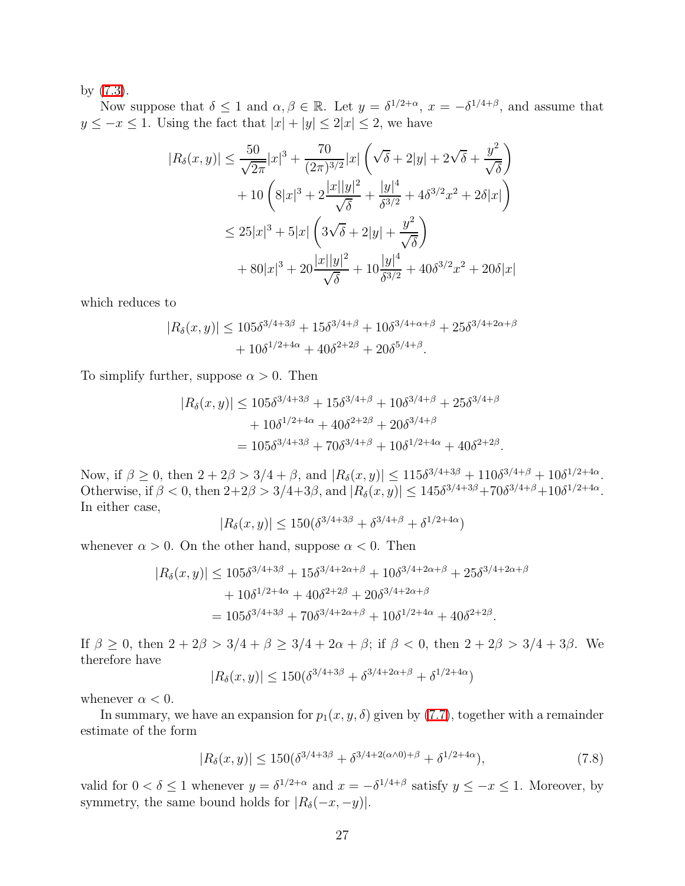by [\(7.3\)](#page-22-3).

Now suppose that  $\delta \leq 1$  and  $\alpha, \beta \in \mathbb{R}$ . Let  $y = \delta^{1/2+\alpha}, x = -\delta^{1/4+\beta}$ , and assume that  $y \leq -x \leq 1$ . Using the fact that  $|x| + |y| \leq 2|x| \leq 2$ , we have

$$
|R_{\delta}(x,y)| \leq \frac{50}{\sqrt{2\pi}}|x|^3 + \frac{70}{(2\pi)^{3/2}}|x|\left(\sqrt{\delta} + 2|y| + 2\sqrt{\delta} + \frac{y^2}{\sqrt{\delta}}\right) + 10\left(8|x|^3 + 2\frac{|x||y|^2}{\sqrt{\delta}} + \frac{|y|^4}{\delta^{3/2}} + 4\delta^{3/2}x^2 + 2\delta|x|\right) \leq 25|x|^3 + 5|x|\left(3\sqrt{\delta} + 2|y| + \frac{y^2}{\sqrt{\delta}}\right) + 80|x|^3 + 20\frac{|x||y|^2}{\sqrt{\delta}} + 10\frac{|y|^4}{\delta^{3/2}} + 40\delta^{3/2}x^2 + 20\delta|x|
$$

which reduces to

$$
|R_{\delta}(x,y)| \le 105\delta^{3/4+3\beta} + 15\delta^{3/4+\beta} + 10\delta^{3/4+\alpha+\beta} + 25\delta^{3/4+2\alpha+\beta} + 10\delta^{1/2+4\alpha} + 40\delta^{2+2\beta} + 20\delta^{5/4+\beta}.
$$

To simplify further, suppose  $\alpha > 0$ . Then

$$
|R_{\delta}(x,y)| \le 105\delta^{3/4+3\beta} + 15\delta^{3/4+\beta} + 10\delta^{3/4+\beta} + 25\delta^{3/4+\beta} + 10\delta^{1/2+4\alpha} + 40\delta^{2+2\beta} + 20\delta^{3/4+\beta} = 105\delta^{3/4+3\beta} + 70\delta^{3/4+\beta} + 10\delta^{1/2+4\alpha} + 40\delta^{2+2\beta}.
$$

Now, if  $\beta \ge 0$ , then  $2 + 2\beta > 3/4 + \beta$ , and  $|R_{\delta}(x, y)| \le 115\delta^{3/4+3\beta} + 110\delta^{3/4+\beta} + 10\delta^{1/2+4\alpha}$ . Otherwise, if  $\beta < 0$ , then  $2+2\beta > 3/4+3\beta$ , and  $|R_{\delta}(x, y)| \leq 145\delta^{3/4+3\beta} + 70\delta^{3/4+\beta} + 10\delta^{1/2+4\alpha}$ . In either case,

$$
|R_{\delta}(x,y)| \le 150(\delta^{3/4+3\beta} + \delta^{3/4+\beta} + \delta^{1/2+4\alpha})
$$

whenever  $\alpha > 0$ . On the other hand, suppose  $\alpha < 0$ . Then

$$
|R_{\delta}(x,y)| \le 105\delta^{3/4+3\beta} + 15\delta^{3/4+2\alpha+\beta} + 10\delta^{3/4+2\alpha+\beta} + 25\delta^{3/4+2\alpha+\beta} + 10\delta^{1/2+4\alpha} + 40\delta^{2+2\beta} + 20\delta^{3/4+2\alpha+\beta} = 105\delta^{3/4+3\beta} + 70\delta^{3/4+2\alpha+\beta} + 10\delta^{1/2+4\alpha} + 40\delta^{2+2\beta}.
$$

If  $\beta \ge 0$ , then  $2 + 2\beta > 3/4 + \beta \ge 3/4 + 2\alpha + \beta$ ; if  $\beta < 0$ , then  $2 + 2\beta > 3/4 + 3\beta$ . We therefore have

$$
|R_{\delta}(x, y)| \le 150(\delta^{3/4 + 3\beta} + \delta^{3/4 + 2\alpha + \beta} + \delta^{1/2 + 4\alpha})
$$

whenever  $\alpha < 0$ .

<span id="page-26-0"></span>In summary, we have an expansion for  $p_1(x, y, \delta)$  given by [\(7.7\)](#page-25-0), together with a remainder estimate of the form

$$
|R_{\delta}(x,y)| \le 150(\delta^{3/4+3\beta} + \delta^{3/4+2(\alpha\wedge 0)+\beta} + \delta^{1/2+4\alpha}),\tag{7.8}
$$

valid for  $0 < \delta \le 1$  whenever  $y = \delta^{1/2+\alpha}$  and  $x = -\delta^{1/4+\beta}$  satisfy  $y \le -x \le 1$ . Moreover, by symmetry, the same bound holds for  $|R_{\delta}(-x, -y)|$ .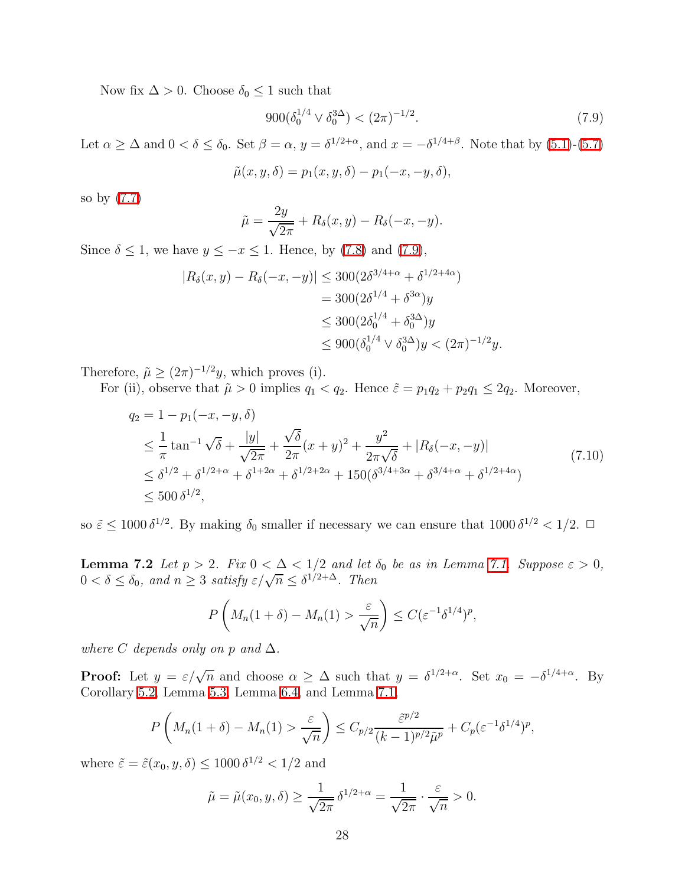Now fix  $\Delta > 0$ . Choose  $\delta_0 \leq 1$  such that

<span id="page-27-0"></span>
$$
900(\delta_0^{1/4} \vee \delta_0^{3\Delta}) < (2\pi)^{-1/2}.\tag{7.9}
$$

Let  $\alpha \geq \Delta$  and  $0 < \delta \leq \delta_0$ . Set  $\beta = \alpha$ ,  $y = \delta^{1/2+\alpha}$ , and  $x = -\delta^{1/4+\beta}$ . Note that by [\(5.1\)](#page-10-3)-[\(5.7\)](#page-10-4)

$$
\tilde{\mu}(x, y, \delta) = p_1(x, y, \delta) - p_1(-x, -y, \delta),
$$

so by [\(7.7\)](#page-25-0)

<span id="page-27-1"></span>
$$
\tilde{\mu} = \frac{2y}{\sqrt{2\pi}} + R_{\delta}(x, y) - R_{\delta}(-x, -y).
$$

Since  $\delta \leq 1$ , we have  $y \leq -x \leq 1$ . Hence, by [\(7.8\)](#page-26-0) and [\(7.9\)](#page-27-0),

$$
|R_{\delta}(x, y) - R_{\delta}(-x, -y)| \le 300(2\delta^{3/4+\alpha} + \delta^{1/2+4\alpha})
$$
  
= 300(2\delta^{1/4} + \delta^{3\alpha})y  

$$
\le 300(2\delta_0^{1/4} + \delta_0^{3\Delta})y
$$
  

$$
\le 900(\delta_0^{1/4} \vee \delta_0^{3\Delta})y < (2\pi)^{-1/2}y.
$$

Therefore,  $\tilde{\mu} \ge (2\pi)^{-1/2}y$ , which proves (i).

For (ii), observe that  $\tilde{\mu} > 0$  implies  $q_1 < q_2$ . Hence  $\tilde{\varepsilon} = p_1 q_2 + p_2 q_1 \leq 2q_2$ . Moreover,

$$
q_2 = 1 - p_1(-x, -y, \delta)
$$
  
\n
$$
\leq \frac{1}{\pi} \tan^{-1} \sqrt{\delta} + \frac{|y|}{\sqrt{2\pi}} + \frac{\sqrt{\delta}}{2\pi} (x + y)^2 + \frac{y^2}{2\pi \sqrt{\delta}} + |R_{\delta}(-x, -y)|
$$
  
\n
$$
\leq \delta^{1/2} + \delta^{1/2 + \alpha} + \delta^{1+2\alpha} + \delta^{1/2 + 2\alpha} + 150(\delta^{3/4 + 3\alpha} + \delta^{3/4 + \alpha} + \delta^{1/2 + 4\alpha})
$$
\n
$$
\leq 500 \delta^{1/2},
$$
\n(7.10)

<span id="page-27-2"></span>so  $\tilde{\varepsilon} \le 1000 \, \delta^{1/2}$ . By making  $\delta_0$  smaller if necessary we can ensure that  $1000 \, \delta^{1/2} < 1/2$ .  $\Box$ 

**Lemma 7.2** *Let*  $p > 2$ *. Fix*  $0 < \Delta < 1/2$  *and let*  $\delta_0$  *be as in Lemma [7.1.](#page-21-0) Suppose*  $\varepsilon > 0$ *,*  $0 < \delta \leq \delta_0$ , and  $n \geq 3$  satisfy  $\varepsilon/\sqrt{n} \leq \delta^{1/2+\Delta}$ . Then

$$
P\left(M_n(1+\delta)-M_n(1)>\frac{\varepsilon}{\sqrt{n}}\right)\leq C(\varepsilon^{-1}\delta^{1/4})^p,
$$

*where* C *depends only on* p *and*  $\Delta$ *.* 

**Proof:** Let  $y = \varepsilon/\sqrt{n}$  and choose  $\alpha \geq \Delta$  such that  $y = \delta^{1/2+\alpha}$ . Set  $x_0 = -\delta^{1/4+\alpha}$ . By Corollary [5.2,](#page-14-2) Lemma [5.3,](#page-15-1) Lemma [6.4,](#page-20-0) and Lemma [7.1,](#page-21-0)

$$
P\left(M_n(1+\delta)-M_n(1)>\frac{\varepsilon}{\sqrt{n}}\right)\leq C_{p/2}\frac{\tilde{\varepsilon}^{p/2}}{(k-1)^{p/2}\tilde{\mu}^p}+C_p(\varepsilon^{-1}\delta^{1/4})^p,
$$

where  $\tilde{\varepsilon} = \tilde{\varepsilon}(x_0, y, \delta) \le 1000 \, \delta^{1/2} < 1/2$  and

$$
\tilde{\mu} = \tilde{\mu}(x_0, y, \delta) \ge \frac{1}{\sqrt{2\pi}} \delta^{1/2 + \alpha} = \frac{1}{\sqrt{2\pi}} \cdot \frac{\varepsilon}{\sqrt{n}} > 0.
$$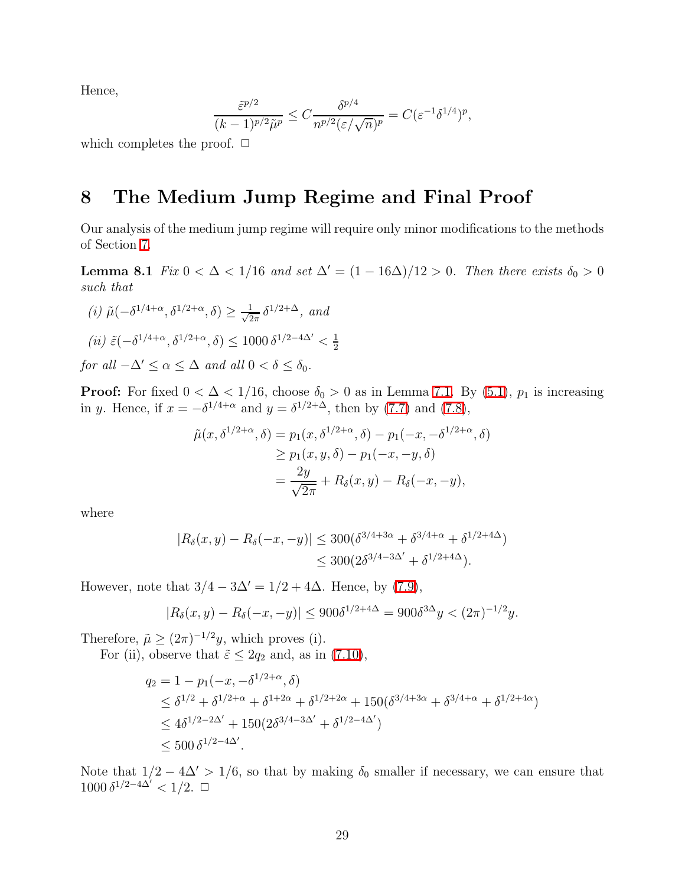Hence,

$$
\frac{\tilde{\varepsilon}^{p/2}}{(k-1)^{p/2}\tilde{\mu}^p} \le C \frac{\delta^{p/4}}{n^{p/2}(\varepsilon/\sqrt{n})^p} = C(\varepsilon^{-1}\delta^{1/4})^p,
$$

which completes the proof.  $\Box$ 

## 8 The Medium Jump Regime and Final Proof

<span id="page-28-0"></span>Our analysis of the medium jump regime will require only minor modifications to the methods of Section [7.](#page-21-2)

**Lemma 8.1** *Fix*  $0 < \Delta < 1/16$  *and set*  $\Delta' = (1 - 16\Delta)/12 > 0$ *. Then there exists*  $\delta_0 > 0$ *such that*

(i) 
$$
\tilde{\mu}(-\delta^{1/4+\alpha}, \delta^{1/2+\alpha}, \delta) \ge \frac{1}{\sqrt{2\pi}} \delta^{1/2+\Delta}
$$
, and  
\n(ii)  $\tilde{\varepsilon}(-\delta^{1/4+\alpha}, \delta^{1/2+\alpha}, \delta) \le 1000 \delta^{1/2-4\Delta'} < \frac{1}{2}$   
\nfor all  $-\Delta' \le \alpha \le \Delta$  and all  $0 < \delta \le \delta_0$ .

**Proof:** For fixed  $0 < \Delta < 1/16$ , choose  $\delta_0 > 0$  as in Lemma [7.1.](#page-21-0) By [\(5.1\)](#page-10-3),  $p_1$  is increasing in y. Hence, if  $x = -\delta^{1/4 + \alpha}$  and  $y = \delta^{1/2 + \Delta}$ , then by [\(7.7\)](#page-25-0) and [\(7.8\)](#page-26-0),

$$
\tilde{\mu}(x,\delta^{1/2+\alpha},\delta) = p_1(x,\delta^{1/2+\alpha},\delta) - p_1(-x,-\delta^{1/2+\alpha},\delta)
$$
  
\n
$$
\geq p_1(x,y,\delta) - p_1(-x,-y,\delta)
$$
  
\n
$$
= \frac{2y}{\sqrt{2\pi}} + R_\delta(x,y) - R_\delta(-x,-y),
$$

where

$$
|R_{\delta}(x, y) - R_{\delta}(-x, -y)| \le 300(\delta^{3/4+3\alpha} + \delta^{3/4+\alpha} + \delta^{1/2+4\Delta})
$$
  

$$
\le 300(2\delta^{3/4-3\Delta'} + \delta^{1/2+4\Delta}).
$$

However, note that  $3/4 - 3\Delta' = 1/2 + 4\Delta$ . Hence, by [\(7.9\)](#page-27-0),

$$
|R_{\delta}(x,y) - R_{\delta}(-x,-y)| \le 900\delta^{1/2+4\Delta} = 900\delta^{3\Delta}y < (2\pi)^{-1/2}y.
$$

Therefore,  $\tilde{\mu} \ge (2\pi)^{-1/2}y$ , which proves (i).

For (ii), observe that  $\tilde{\varepsilon} \leq 2q_2$  and, as in [\(7.10\)](#page-27-1),

$$
q_2 = 1 - p_1(-x, -\delta^{1/2+\alpha}, \delta)
$$
  
\n
$$
\leq \delta^{1/2} + \delta^{1/2+\alpha} + \delta^{1+2\alpha} + \delta^{1/2+2\alpha} + 150(\delta^{3/4+3\alpha} + \delta^{3/4+\alpha} + \delta^{1/2+4\alpha})
$$
  
\n
$$
\leq 4\delta^{1/2-2\Delta'} + 150(2\delta^{3/4-3\Delta'} + \delta^{1/2-4\Delta'})
$$
  
\n
$$
\leq 500 \delta^{1/2-4\Delta'}.
$$

<span id="page-28-1"></span>Note that  $1/2 - 4\Delta' > 1/6$ , so that by making  $\delta_0$  smaller if necessary, we can ensure that  $1000 \delta^{1/2-4\Delta'} < 1/2$ . □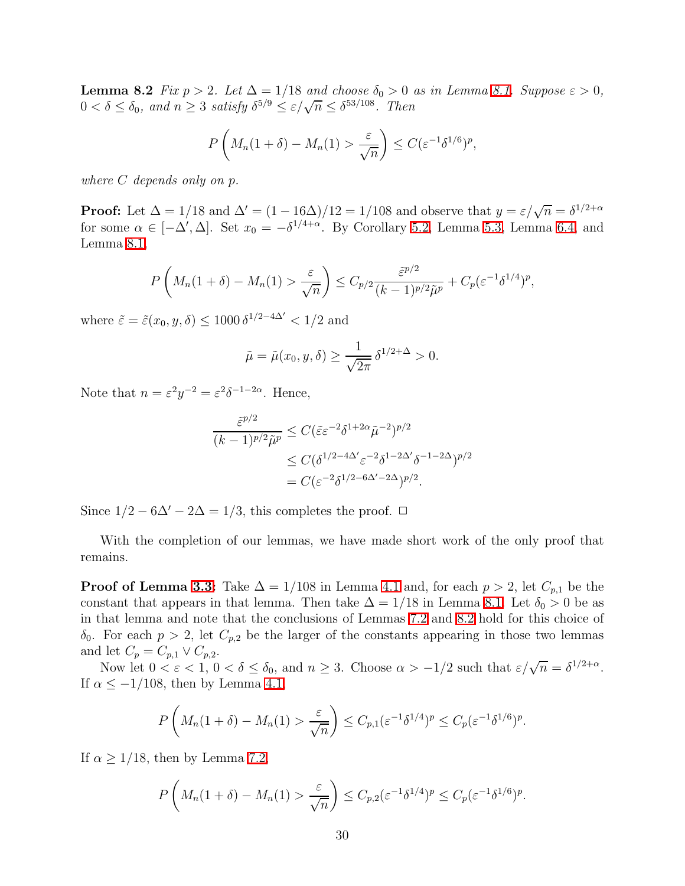**Lemma 8.2** *Fix*  $p > 2$ *. Let*  $\Delta = 1/18$  *and choose*  $\delta_0 > 0$  *as in Lemma [8.1.](#page-28-0) Suppose*  $\varepsilon > 0$ *,*  $0 < \delta \leq \delta_0$ , and  $n \geq 3$  satisfy  $\delta^{5/9} \leq \varepsilon/\sqrt{n} \leq \delta^{53/108}$ . Then

$$
P\left(M_n(1+\delta) - M_n(1) > \frac{\varepsilon}{\sqrt{n}}\right) \le C(\varepsilon^{-1}\delta^{1/6})^p,
$$

*where* C *depends only on* p*.*

**Proof:** Let  $\Delta = 1/18$  and  $\Delta' = (1 - 16\Delta)/12 = 1/108$  and observe that  $y = \varepsilon/\sqrt{n} = \delta^{1/2+\alpha}$ for some  $\alpha \in [-\Delta', \Delta]$ . Set  $x_0 = -\delta^{1/4 + \alpha}$ . By Corollary [5.2,](#page-14-2) Lemma [5.3,](#page-15-1) Lemma [6.4,](#page-20-0) and Lemma [8.1,](#page-28-0)

$$
P\left(M_n(1+\delta)-M_n(1)>\frac{\varepsilon}{\sqrt{n}}\right)\leq C_{p/2}\frac{\tilde{\varepsilon}^{p/2}}{(k-1)^{p/2}\tilde{\mu}^p}+C_p(\varepsilon^{-1}\delta^{1/4})^p,
$$

where  $\tilde{\varepsilon} = \tilde{\varepsilon}(x_0, y, \delta) \le 1000 \, \delta^{1/2 - 4\Delta'} < 1/2$  and

$$
\tilde{\mu} = \tilde{\mu}(x_0, y, \delta) \ge \frac{1}{\sqrt{2\pi}} \delta^{1/2 + \Delta} > 0.
$$

Note that  $n = \varepsilon^2 y^{-2} = \varepsilon^2 \delta^{-1-2\alpha}$ . Hence,

$$
\frac{\tilde{\varepsilon}^{p/2}}{(k-1)^{p/2}\tilde{\mu}^p} \le C(\tilde{\varepsilon}\varepsilon^{-2}\delta^{1+2\alpha}\tilde{\mu}^{-2})^{p/2}
$$

$$
\le C(\delta^{1/2-4\Delta'}\varepsilon^{-2}\delta^{1-2\Delta'}\delta^{-1-2\Delta})^{p/2}
$$

$$
= C(\varepsilon^{-2}\delta^{1/2-6\Delta'-2\Delta})^{p/2}.
$$

Since  $1/2 - 6\Delta' - 2\Delta = 1/3$ , this completes the proof.  $\Box$ 

With the completion of our lemmas, we have made short work of the only proof that remains.

**Proof of Lemma [3.3:](#page-6-2)** Take  $\Delta = 1/108$  in Lemma [4.1](#page-9-1) and, for each  $p > 2$ , let  $C_{p,1}$  be the constant that appears in that lemma. Then take  $\Delta = 1/18$  in Lemma [8.1.](#page-28-0) Let  $\delta_0 > 0$  be as in that lemma and note that the conclusions of Lemmas [7.2](#page-27-2) and [8.2](#page-28-1) hold for this choice of  $\delta_0$ . For each  $p > 2$ , let  $C_{p,2}$  be the larger of the constants appearing in those two lemmas and let  $C_p = C_{p,1} \vee C_{p,2}$ .

Now let  $0 < \varepsilon < 1$ ,  $0 < \delta \le \delta_0$ , and  $n \ge 3$ . Choose  $\alpha > -1/2$  such that  $\varepsilon/\sqrt{n} = \delta^{1/2+\alpha}$ . If  $\alpha \le -1/108$ , then by Lemma [4.1,](#page-9-1)

$$
P\left(M_n(1+\delta)-M_n(1)>\frac{\varepsilon}{\sqrt{n}}\right)\leq C_{p,1}(\varepsilon^{-1}\delta^{1/4})^p\leq C_p(\varepsilon^{-1}\delta^{1/6})^p.
$$

If  $\alpha > 1/18$ , then by Lemma [7.2,](#page-27-2)

$$
P\left(M_n(1+\delta)-M_n(1)>\frac{\varepsilon}{\sqrt{n}}\right)\leq C_{p,2}(\varepsilon^{-1}\delta^{1/4})^p\leq C_p(\varepsilon^{-1}\delta^{1/6})^p.
$$